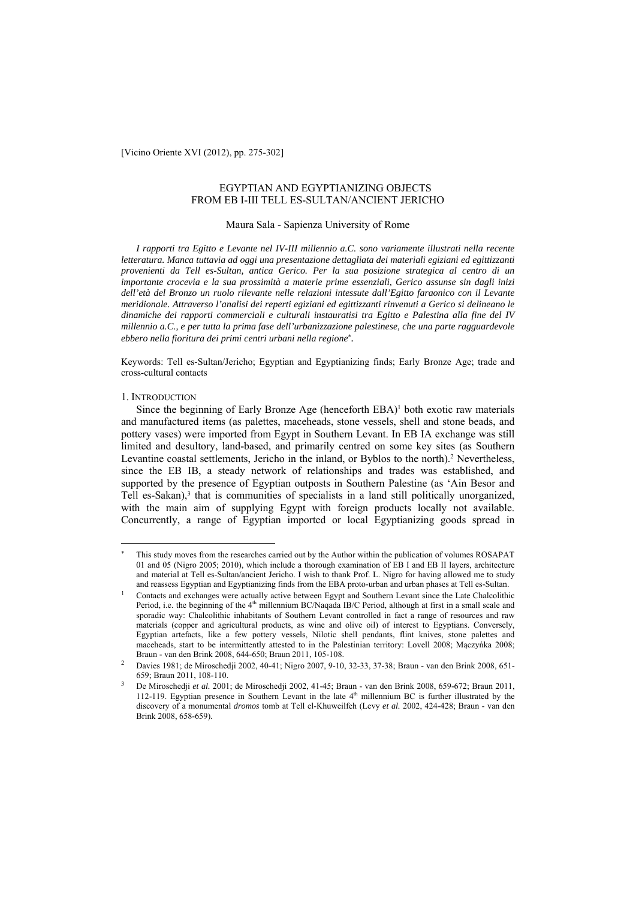[Vicino Oriente XVI (2012), pp. 275-302]

# EGYPTIAN AND EGYPTIANIZING OBJECTS FROM EB I-III TELL ES-SULTAN/ANCIENT JERICHO

# Maura Sala - Sapienza University of Rome

*I rapporti tra Egitto e Levante nel IV-III millennio a.C. sono variamente illustrati nella recente letteratura. Manca tuttavia ad oggi una presentazione dettagliata dei materiali egiziani ed egittizzanti provenienti da Tell es-Sultan, antica Gerico. Per la sua posizione strategica al centro di un importante crocevia e la sua prossimità a materie prime essenziali, Gerico assunse sin dagli inizi dell'età del Bronzo un ruolo rilevante nelle relazioni intessute dall'Egitto faraonico con il Levante meridionale. Attraverso l'analisi dei reperti egiziani ed egittizzanti rinvenuti a Gerico si delineano le dinamiche dei rapporti commerciali e culturali instauratisi tra Egitto e Palestina alla fine del IV millennio a.C., e per tutta la prima fase dell'urbanizzazione palestinese, che una parte ragguardevole ebbero nella fioritura dei primi centri urbani nella regione .* 

Keywords: Tell es-Sultan/Jericho; Egyptian and Egyptianizing finds; Early Bronze Age; trade and cross-cultural contacts

### 1. INTRODUCTION

 $\overline{a}$ 

Since the beginning of Early Bronze Age (henceforth EBA)<sup>1</sup> both exotic raw materials and manufactured items (as palettes, maceheads, stone vessels, shell and stone beads, and pottery vases) were imported from Egypt in Southern Levant. In EB IA exchange was still limited and desultory, land-based, and primarily centred on some key sites (as Southern Levantine coastal settlements, Jericho in the inland, or Byblos to the north).2 Nevertheless, since the EB IB, a steady network of relationships and trades was established, and supported by the presence of Egyptian outposts in Southern Palestine (as 'Ain Besor and Tell es-Sakan),<sup>3</sup> that is communities of specialists in a land still politically unorganized, with the main aim of supplying Egypt with foreign products locally not available. Concurrently, a range of Egyptian imported or local Egyptianizing goods spread in

This study moves from the researches carried out by the Author within the publication of volumes ROSAPAT 01 and 05 (Nigro 2005; 2010), which include a thorough examination of EB I and EB II layers, architecture and material at Tell es-Sultan/ancient Jericho. I wish to thank Prof. L. Nigro for having allowed me to study

and reassess Egyptian and Egyptianizing finds from the EBA proto-urban and urban phases at Tell es-Sultan.<br>1 Contacts and exchanges were actually active between Egypt and Southern Levant since the Late Chalcolithic Period, i.e. the beginning of the 4<sup>th</sup> millennium BC/Naqada IB/C Period, although at first in a small scale and sporadic way: Chalcolithic inhabitants of Southern Levant controlled in fact a range of resources and raw materials (copper and agricultural products, as wine and olive oil) of interest to Egyptians. Conversely, Egyptian artefacts, like a few pottery vessels, Nilotic shell pendants, flint knives, stone palettes and maceheads, start to be intermittently attested to in the Palestinian territory: Lovell 2008; Mączyńka 2008; Braun - van den Brink 2008. 644-650: Braun 2011. 105-108.

Braun - van den Brink 2008, 651-659; Braun 2011, 108-110. 2002, 40-41; Nigro 2007, 9-10, 32-33, 37-38; Braun - van den Brink 2008, 651-659; Braun 2011, 108-110.

<sup>659;</sup> Braun 2011, 108-110. 3 De Miroschedji *et al.* 2001; de Miroschedji 2002, 41-45; Braun - van den Brink 2008, 659-672; Braun 2011, 112-119. Egyptian presence in Southern Levant in the late 4th millennium BC is further illustrated by the discovery of a monumental *dromos* tomb at Tell el-Khuweilfeh (Levy *et al.* 2002, 424-428; Braun - van den Brink 2008, 658-659).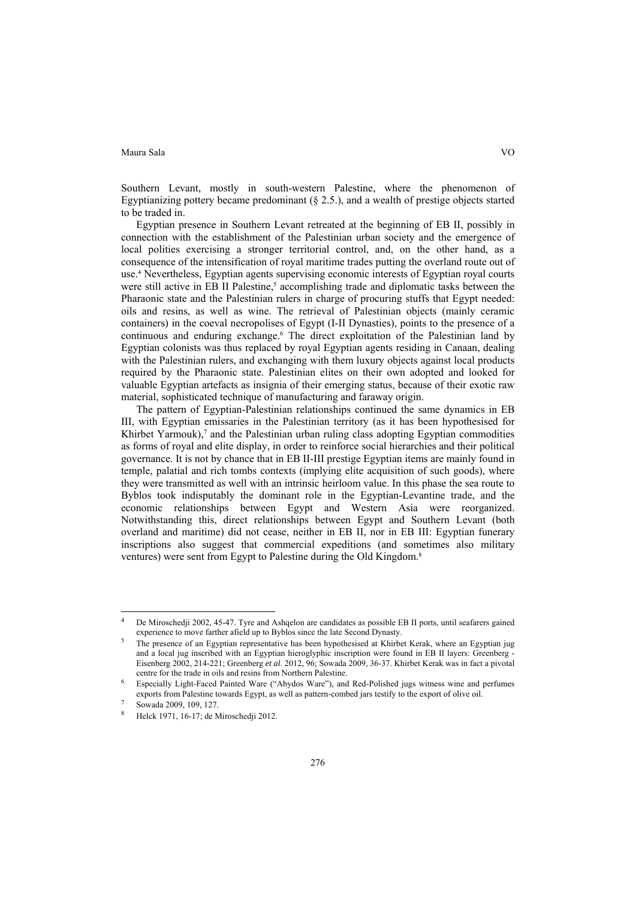Southern Levant, mostly in south-western Palestine, where the phenomenon of Egyptianizing pottery became predominant  $(\xi 2.5)$ , and a wealth of prestige objects started to be traded in.

Egyptian presence in Southern Levant retreated at the beginning of EB II, possibly in connection with the establishment of the Palestinian urban society and the emergence of local polities exercising a stronger territorial control, and, on the other hand, as a consequence of the intensification of royal maritime trades putting the overland route out of use.4 Nevertheless, Egyptian agents supervising economic interests of Egyptian royal courts were still active in EB II Palestine,<sup>5</sup> accomplishing trade and diplomatic tasks between the Pharaonic state and the Palestinian rulers in charge of procuring stuffs that Egypt needed: oils and resins, as well as wine. The retrieval of Palestinian objects (mainly ceramic containers) in the coeval necropolises of Egypt (I-II Dynasties), points to the presence of a continuous and enduring exchange.6 The direct exploitation of the Palestinian land by Egyptian colonists was thus replaced by royal Egyptian agents residing in Canaan, dealing with the Palestinian rulers, and exchanging with them luxury objects against local products required by the Pharaonic state. Palestinian elites on their own adopted and looked for valuable Egyptian artefacts as insignia of their emerging status, because of their exotic raw material, sophisticated technique of manufacturing and faraway origin.

The pattern of Egyptian-Palestinian relationships continued the same dynamics in EB III, with Egyptian emissaries in the Palestinian territory (as it has been hypothesised for Khirbet Yarmouk), $7$  and the Palestinian urban ruling class adopting Egyptian commodities as forms of royal and elite display, in order to reinforce social hierarchies and their political governance. It is not by chance that in EB II-III prestige Egyptian items are mainly found in temple, palatial and rich tombs contexts (implying elite acquisition of such goods), where they were transmitted as well with an intrinsic heirloom value. In this phase the sea route to Byblos took indisputably the dominant role in the Egyptian-Levantine trade, and the economic relationships between Egypt and Western Asia were reorganized. Notwithstanding this, direct relationships between Egypt and Southern Levant (both overland and maritime) did not cease, neither in EB II, nor in EB III: Egyptian funerary inscriptions also suggest that commercial expeditions (and sometimes also military ventures) were sent from Egypt to Palestine during the Old Kingdom.8

 $\overline{a}$ 

<sup>4</sup> De Miroschedji 2002, 45-47. Tyre and Ashqelon are candidates as possible EB II ports, until seafarers gained

experience to move farther afield up to Byblos since the late Second Dynasty.<br>The presence of an Egyptian representative has been hypothesised at Khirbet Kerak, where an Egyptian jug and a local jug inscribed with an Egyptian hieroglyphic inscription were found in EB II layers: Greenberg - Eisenberg 2002, 214-221; Greenberg *et al*. 2012, 96; Sowada 2009, 36-37. Khirbet Kerak was in fact a pivotal

Especially Light-Faced Painted Ware ("Abydos Ware"), and Red-Polished jugs witness wine and perfumes exports from Palestine towards Egypt, as well as pattern-combed jars testify to the export of olive oil. Sowada 2009, 109, 127.

<sup>8</sup> Helck 1971, 16-17; de Miroschedji 2012.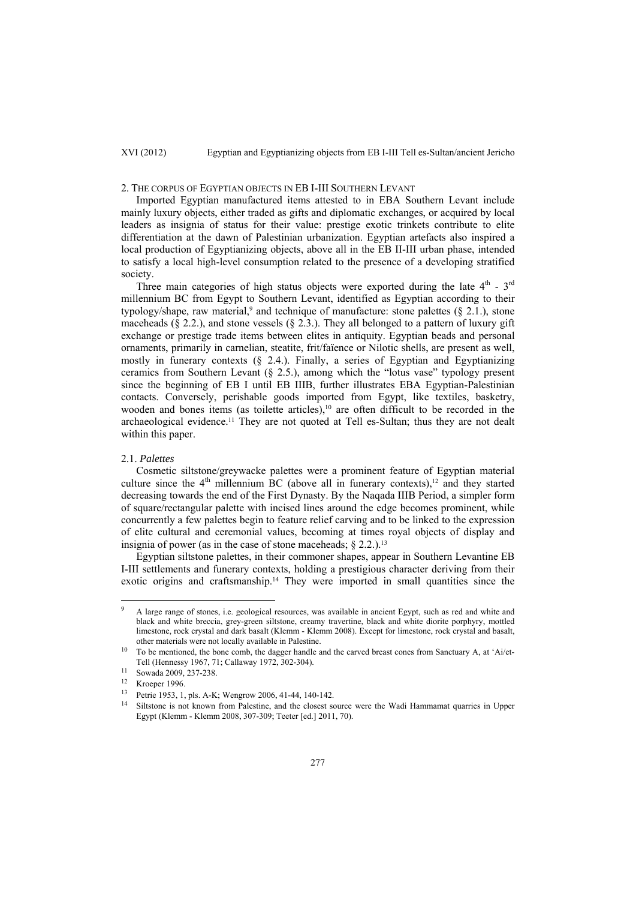# 2. THE CORPUS OF EGYPTIAN OBJECTS IN EB I-III SOUTHERN LEVANT

Imported Egyptian manufactured items attested to in EBA Southern Levant include mainly luxury objects, either traded as gifts and diplomatic exchanges, or acquired by local leaders as insignia of status for their value: prestige exotic trinkets contribute to elite differentiation at the dawn of Palestinian urbanization. Egyptian artefacts also inspired a local production of Egyptianizing objects, above all in the EB II-III urban phase, intended to satisfy a local high-level consumption related to the presence of a developing stratified society.

Three main categories of high status objects were exported during the late  $4<sup>th</sup>$  -  $3<sup>rd</sup>$ millennium BC from Egypt to Southern Levant, identified as Egyptian according to their typology/shape, raw material,<sup>9</sup> and technique of manufacture: stone palettes ( $\S$  2.1.), stone maceheads ( $\S 2.2$ .), and stone vessels ( $\S 2.3$ .). They all belonged to a pattern of luxury gift exchange or prestige trade items between elites in antiquity. Egyptian beads and personal ornaments, primarily in carnelian, steatite, frit/faïence or Nilotic shells, are present as well, mostly in funerary contexts (§ 2.4.). Finally, a series of Egyptian and Egyptianizing ceramics from Southern Levant (§ 2.5.), among which the "lotus vase" typology present since the beginning of EB I until EB IIIB, further illustrates EBA Egyptian-Palestinian contacts. Conversely, perishable goods imported from Egypt, like textiles, basketry, wooden and bones items (as toilette articles),<sup>10</sup> are often difficult to be recorded in the archaeological evidence.11 They are not quoted at Tell es-Sultan; thus they are not dealt within this paper.

# 2.1. *Palettes*

Cosmetic siltstone/greywacke palettes were a prominent feature of Egyptian material culture since the  $4<sup>th</sup>$  millennium BC (above all in funerary contexts),<sup>12</sup> and they started decreasing towards the end of the First Dynasty. By the Naqada IIIB Period, a simpler form of square/rectangular palette with incised lines around the edge becomes prominent, while concurrently a few palettes begin to feature relief carving and to be linked to the expression of elite cultural and ceremonial values, becoming at times royal objects of display and insignia of power (as in the case of stone maceheads;  $\S$  2.2.).<sup>13</sup>

Egyptian siltstone palettes, in their commoner shapes, appear in Southern Levantine EB I-III settlements and funerary contexts, holding a prestigious character deriving from their exotic origins and craftsmanship.14 They were imported in small quantities since the

l

<sup>9</sup> A large range of stones, i.e. geological resources, was available in ancient Egypt, such as red and white and black and white breccia, grey-green siltstone, creamy travertine, black and white diorite porphyry, mottled limestone, rock crystal and dark basalt (Klemm - Klemm 2008). Except for limestone, rock crystal and basalt, other materials were not locally available in Palestine.<br><sup>10</sup> To be mentioned, the bone comb, the dagger handle and the carved breast cones from Sanctuary A, at 'Ai/et-

Tell (Hennessy 1967, 71; Callaway 1972, 302-304).<br><sup>11</sup> Sowada 2009, 237-238.

<sup>12</sup> Kroeper 1996.

<sup>13</sup> Petrie 1953, 1, pls. A-K; Wengrow 2006, 41-44, 140-142.

Siltstone is not known from Palestine, and the closest source were the Wadi Hammamat quarries in Upper Egypt (Klemm - Klemm 2008, 307-309; Teeter [ed.] 2011, 70).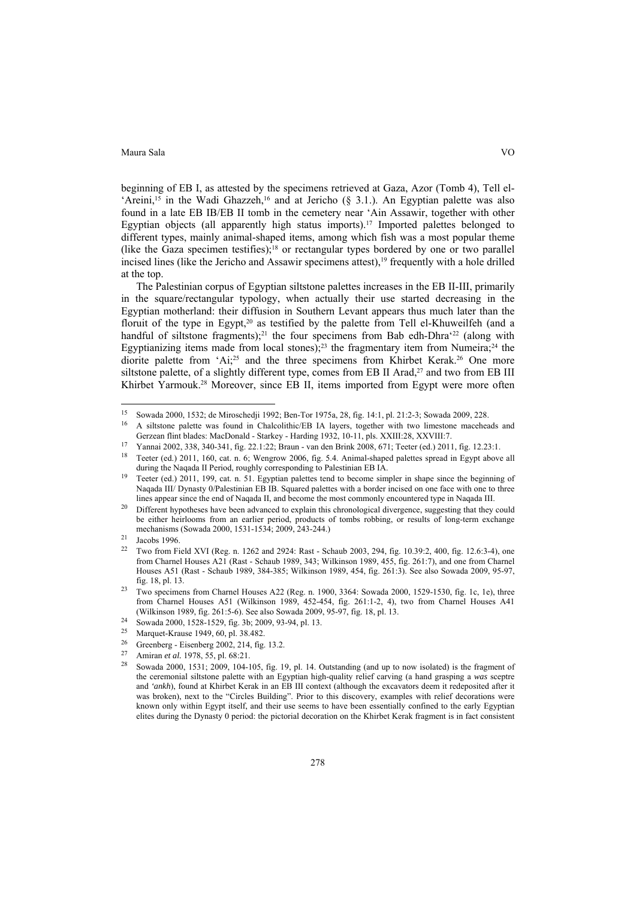beginning of EB I, as attested by the specimens retrieved at Gaza, Azor (Tomb 4), Tell el- 'Areini,<sup>15</sup> in the Wadi Ghazzeh,<sup>16</sup> and at Jericho (§ 3.1.). An Egyptian palette was also found in a late EB IB/EB II tomb in the cemetery near 'Ain Assawir, together with other Egyptian objects (all apparently high status imports).<sup>17</sup> Imported palettes belonged to different types, mainly animal-shaped items, among which fish was a most popular theme (like the Gaza specimen testifies);<sup>18</sup> or rectangular types bordered by one or two parallel incised lines (like the Jericho and Assawir specimens attest),<sup>19</sup> frequently with a hole drilled at the top.

The Palestinian corpus of Egyptian siltstone palettes increases in the EB II-III, primarily in the square/rectangular typology, when actually their use started decreasing in the Egyptian motherland: their diffusion in Southern Levant appears thus much later than the floruit of the type in Egypt,<sup>20</sup> as testified by the palette from Tell el-Khuweilfeh (and a handful of siltstone fragments);<sup>21</sup> the four specimens from Bab edh-Dhra<sup> $22$ </sup> (along with Egyptianizing items made from local stones);<sup>23</sup> the fragmentary item from Numeira;<sup>24</sup> the diorite palette from 'Ai;<sup>25</sup> and the three specimens from Khirbet Kerak.<sup>26</sup> One more siltstone palette, of a slightly different type, comes from EB II Arad,<sup>27</sup> and two from EB III Khirbet Yarmouk.28 Moreover, since EB II, items imported from Egypt were more often

 $\overline{a}$ 

<sup>&</sup>lt;sup>15</sup> Sowada 2000, 1532; de Miroschedji 1992; Ben-Tor 1975a, 28, fig. 14:1, pl. 21:2-3; Sowada 2009, 228.<br><sup>16</sup> A siltstone palette was found in Chalcolithic/EB IA layers, together with two limestone maceheads and Gerzean fl

<sup>&</sup>lt;sup>17</sup> Yannai 2002, 338, 340-341, fig. 22.1:22; Braun - van den Brink 2008, 671; Teeter (ed.) 2011, fig. 12.23:1.<br><sup>18</sup> Teeter (ed.) 2011, 160, cat. n. 6; Wengrow 2006, fig. 5.4. Animal-shaped palettes spread in Egypt above a

<sup>&</sup>lt;sup>19</sup> Teeter (ed.) 2011, 199, cat. n. 51. Egyptian palettes tend to become simpler in shape since the beginning of Naqada III/ Dynasty 0/Palestinian EB IB. Squared palettes with a border incised on one face with one to three lines appear since the end of Naqada II, and become the most commonly encountered type in Naqada III.<br><sup>20</sup> Different hypotheses have been advanced to explain this chronological divergence, suggesting that they could

be either heirlooms from an earlier period, products of tombs robbing, or results of long-term exchange mechanisms (Sowada 2000, 1531-1534; 2009, 243-244.)<br>21 Jacobs 1996.<br>22 Two from Field YVI (Bog n. 1262 and 2024; Bogt. So

<sup>22</sup> Two from Field XVI (Reg. n. 1262 and 2924: Rast - Schaub 2003, 294, fig. 10.39:2, 400, fig. 12.6:3-4), one from Charnel Houses A21 (Rast - Schaub 1989, 343; Wilkinson 1989, 455, fig. 261:7), and one from Charnel Houses A51 (Rast - Schaub 1989, 384-385; Wilkinson 1989, 454, fig. 261:3). See also Sowada 2009, 95-97, fig. 18, pl. 13. 23 Two specimens from Charnel Houses A22 (Reg. n. 1900, 3364: Sowada 2000, 1529-1530, fig. 1c, 1e), three

from Charnel Houses A51 (Wilkinson 1989, 452-454, fig. 261:1-2, 4), two from Charnel Houses A41 (Wilkinson 1989, fig. 261:5-6). See also Sowada 2009, 95-97, fig. 18, pl. 13.<br><sup>24</sup> Sowada 2000, 1528-1529, fig. 3b; 2009, 93-94, pl. 13.

<sup>&</sup>lt;sup>25</sup> Marquet-Krause 1949, 60, pl. 38.482.<br><sup>26</sup> Crasulation: Fiscal and 2002, 214.5 c.

<sup>26</sup> Greenberg - Eisenberg 2002, 214, fig. 13.2.

<sup>27</sup> Amiran *et al.* 1978, 55, pl. 68:21.<br><sup>28</sup> Sowada 2000, 1531; 2009, 104-105, fig. 19, pl. 14. Outstanding (and up to now isolated) is the fragment of the ceremonial siltstone palette with an Egyptian high-quality relief carving (a hand grasping a *was* sceptre and *'ankh*), found at Khirbet Kerak in an EB III context (although the excavators deem it redeposited after it was broken), next to the "Circles Building". Prior to this discovery, examples with relief decorations were known only within Egypt itself, and their use seems to have been essentially confined to the early Egyptian elites during the Dynasty 0 period: the pictorial decoration on the Khirbet Kerak fragment is in fact consistent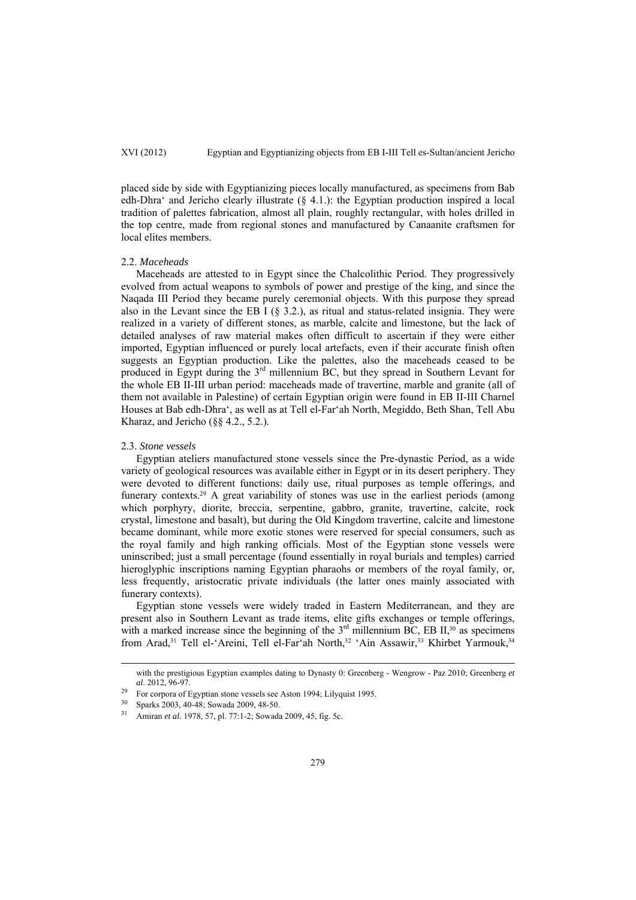placed side by side with Egyptianizing pieces locally manufactured, as specimens from Bab edh-Dhra' and Jericho clearly illustrate  $(§ 4.1.)$ : the Egyptian production inspired a local tradition of palettes fabrication, almost all plain, roughly rectangular, with holes drilled in the top centre, made from regional stones and manufactured by Canaanite craftsmen for local elites members.

# 2.2. *Maceheads*

Maceheads are attested to in Egypt since the Chalcolithic Period. They progressively evolved from actual weapons to symbols of power and prestige of the king, and since the Naqada III Period they became purely ceremonial objects. With this purpose they spread also in the Levant since the EB I ( $\S$  3.2.), as ritual and status-related insignia. They were realized in a variety of different stones, as marble, calcite and limestone, but the lack of detailed analyses of raw material makes often difficult to ascertain if they were either imported, Egyptian influenced or purely local artefacts, even if their accurate finish often suggests an Egyptian production. Like the palettes, also the maceheads ceased to be produced in Egypt during the 3rd millennium BC, but they spread in Southern Levant for the whole EB II-III urban period: maceheads made of travertine, marble and granite (all of them not available in Palestine) of certain Egyptian origin were found in EB II-III Charnel Houses at Bab edh-Dhra', as well as at Tell el-Far'ah North, Megiddo, Beth Shan, Tell Abu Kharaz, and Jericho (§§ 4.2., 5.2.).

### 2.3. *Stone vessels*

Egyptian ateliers manufactured stone vessels since the Pre-dynastic Period, as a wide variety of geological resources was available either in Egypt or in its desert periphery. They were devoted to different functions: daily use, ritual purposes as temple offerings, and funerary contexts.29 A great variability of stones was use in the earliest periods (among which porphyry, diorite, breccia, serpentine, gabbro, granite, travertine, calcite, rock crystal, limestone and basalt), but during the Old Kingdom travertine, calcite and limestone became dominant, while more exotic stones were reserved for special consumers, such as the royal family and high ranking officials. Most of the Egyptian stone vessels were uninscribed; just a small percentage (found essentially in royal burials and temples) carried hieroglyphic inscriptions naming Egyptian pharaohs or members of the royal family, or, less frequently, aristocratic private individuals (the latter ones mainly associated with funerary contexts).

Egyptian stone vessels were widely traded in Eastern Mediterranean, and they are present also in Southern Levant as trade items, elite gifts exchanges or temple offerings, with a marked increase since the beginning of the  $3<sup>rd</sup>$  millennium BC, EB II,<sup>30</sup> as specimens from Arad,<sup>31</sup> Tell el-'Areini, Tell el-Far'ah North,<sup>32</sup> 'Ain Assawir,<sup>33</sup> Khirbet Yarmouk,<sup>34</sup>

with the prestigious Egyptian examples dating to Dynasty 0: Greenberg - Wengrow - Paz 2010; Greenberg *et* 

<sup>&</sup>lt;sup>29</sup> For corpora of Egyptian stone vessels see Aston 1994; Lilyquist 1995.

 $30$  Sparks 2003, 40-48; Sowada 2009, 48-50.<br> $31$  Amiran et al. 1978, 57, pl. 77:1.2; Sowada

<sup>31</sup> Amiran *et al.* 1978, 57, pl. 77:1-2; Sowada 2009, 45, fig. 5c.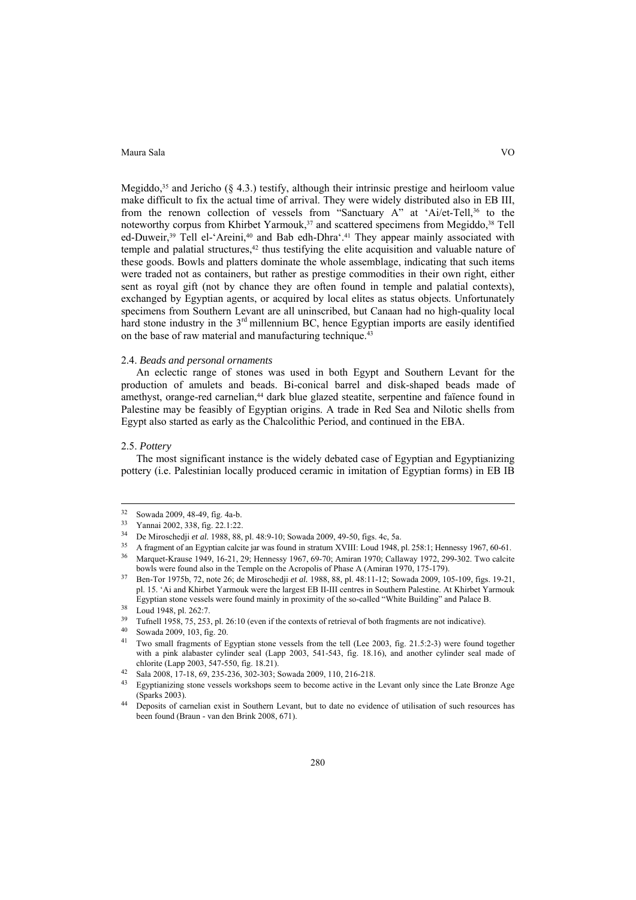Megiddo,<sup>35</sup> and Jericho ( $\S$  4.3.) testify, although their intrinsic prestige and heirloom value make difficult to fix the actual time of arrival. They were widely distributed also in EB III, from the renown collection of vessels from "Sanctuary A" at 'Ai/et-Tell,36 to the noteworthy corpus from Khirbet Yarmouk,<sup>37</sup> and scattered specimens from Megiddo,<sup>38</sup> Tell ed-Duweir,<sup>39</sup> Tell el-'Areini,<sup>40</sup> and Bab edh-Dhra'.<sup>41</sup> They appear mainly associated with temple and palatial structures,<sup>42</sup> thus testifying the elite acquisition and valuable nature of these goods. Bowls and platters dominate the whole assemblage, indicating that such items were traded not as containers, but rather as prestige commodities in their own right, either sent as royal gift (not by chance they are often found in temple and palatial contexts), exchanged by Egyptian agents, or acquired by local elites as status objects. Unfortunately specimens from Southern Levant are all uninscribed, but Canaan had no high-quality local hard stone industry in the 3<sup>rd</sup> millennium BC, hence Egyptian imports are easily identified on the base of raw material and manufacturing technique.43

# 2.4. *Beads and personal ornaments*

An eclectic range of stones was used in both Egypt and Southern Levant for the production of amulets and beads. Bi-conical barrel and disk-shaped beads made of amethyst, orange-red carnelian,<sup>44</sup> dark blue glazed steatite, serpentine and faïence found in Palestine may be feasibly of Egyptian origins. A trade in Red Sea and Nilotic shells from Egypt also started as early as the Chalcolithic Period, and continued in the EBA.

### 2.5. *Pottery*

The most significant instance is the widely debated case of Egyptian and Egyptianizing pottery (i.e. Palestinian locally produced ceramic in imitation of Egyptian forms) in EB IB

 $32$  Sowada 2009, 48-49, fig. 4a-b.

 $^{33}$  Yannai 2002, 338, fig. 22.1:22.<br><sup>34</sup> De Miroschedii *et al* 1988, 88

<sup>&</sup>lt;sup>34</sup> De Miroschedji *et al.* 1988, 88, pl. 48:9-10; Sowada 2009, 49-50, figs. 4c, 5a.<br>
<sup>35</sup> A fragment of an Egyptian calcite jar was found in stratum XVIII: Loud 1948, pl. 258:1; Hennessy 1967, 60-61.<br>
<sup>36</sup> Marquet-Kraus

bowls were found also in the Temple on the Acropolis of Phase A (Amiran 1970, 175-179). 37 Ben-Tor 1975b, 72, note 26; de Miroschedji *et al.* 1988, 88, pl. 48:11-12; Sowada 2009, 105-109, figs. 19-21,

pl. 15. 'Ai and Khirbet Yarmouk were the largest EB II-III centres in Southern Palestine. At Khirbet Yarmouk Egyptian stone vessels were found mainly in proximity of the so-called "White Building" and Palace B. I oud 1948, pl. 262:7.

<sup>&</sup>lt;sup>39</sup> Tufnell 1958, 75, 253, pl. 26:10 (even if the contexts of retrieval of both fragments are not indicative).<br><sup>40</sup> Sowada 2009, 103, fig. 20.

<sup>41</sup> Two small fragments of Egyptian stone vessels from the tell (Lee 2003, fig. 21.5:2-3) were found together with a pink alabaster cylinder seal (Lapp 2003, 541-543, fig. 18.16), and another cylinder seal made of chlorite (Lapp 2003, 547-550, fig. 18.21).<br><sup>42</sup> Sala 2008, 17-18, 69, 235-236, 302-303; Sowada 2009, 110, 216-218.

<sup>&</sup>lt;sup>43</sup> Egyptianizing stone vessels workshops seem to become active in the Levant only since the Late Bronze Age (Sparks 2003). 44 Deposits of carnelian exist in Southern Levant, but to date no evidence of utilisation of such resources has

been found (Braun - van den Brink 2008, 671).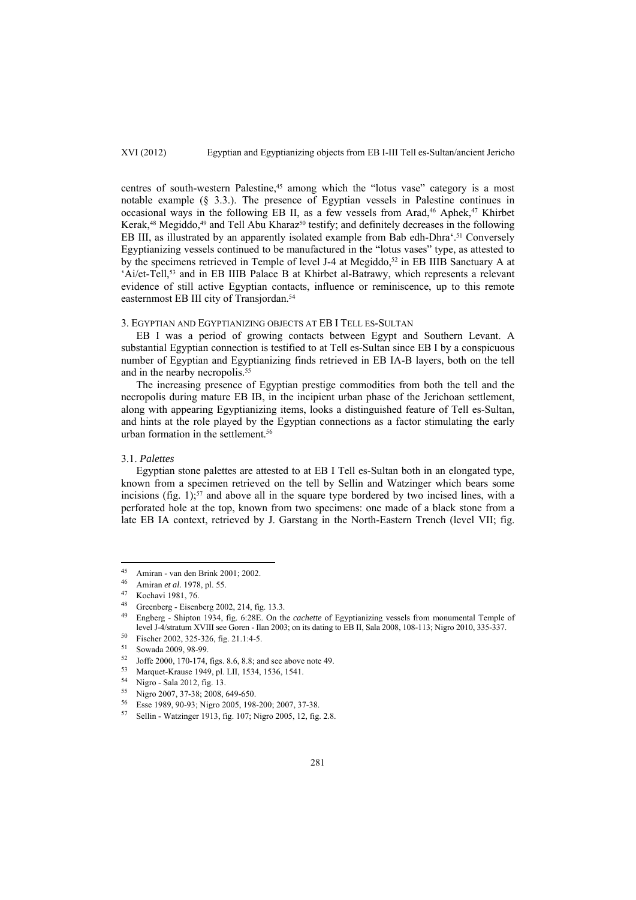centres of south-western Palestine,<sup>45</sup> among which the "lotus vase" category is a most notable example (§ 3.3.). The presence of Egyptian vessels in Palestine continues in occasional ways in the following EB II, as a few vessels from Arad, $46$  Aphek, $47$  Khirbet Kerak,<sup>48</sup> Megiddo,<sup>49</sup> and Tell Abu Kharaz<sup>50</sup> testify; and definitely decreases in the following EB III, as illustrated by an apparently isolated example from Bab edh-Dhra'.<sup>51</sup> Conversely Egyptianizing vessels continued to be manufactured in the "lotus vases" type, as attested to by the specimens retrieved in Temple of level J-4 at Megiddo,<sup>52</sup> in EB IIIB Sanctuary A at 'Ai/et-Tell,53 and in EB IIIB Palace B at Khirbet al-Batrawy, which represents a relevant evidence of still active Egyptian contacts, influence or reminiscence, up to this remote easternmost EB III city of Transjordan.54

# 3. EGYPTIAN AND EGYPTIANIZING OBJECTS AT EB I TELL ES-SULTAN

EB I was a period of growing contacts between Egypt and Southern Levant. A substantial Egyptian connection is testified to at Tell es-Sultan since EB I by a conspicuous number of Egyptian and Egyptianizing finds retrieved in EB IA-B layers, both on the tell and in the nearby necropolis.<sup>55</sup>

The increasing presence of Egyptian prestige commodities from both the tell and the necropolis during mature EB IB, in the incipient urban phase of the Jerichoan settlement, along with appearing Egyptianizing items, looks a distinguished feature of Tell es-Sultan, and hints at the role played by the Egyptian connections as a factor stimulating the early urban formation in the settlement.<sup>56</sup>

# 3.1. *Palettes*

 $\overline{a}$ 

Egyptian stone palettes are attested to at EB I Tell es-Sultan both in an elongated type, known from a specimen retrieved on the tell by Sellin and Watzinger which bears some incisions (fig. 1); $57$  and above all in the square type bordered by two incised lines, with a perforated hole at the top, known from two specimens: one made of a black stone from a late EB IA context, retrieved by J. Garstang in the North-Eastern Trench (level VII; fig.

<sup>45</sup> Amiran - van den Brink 2001; 2002.

<sup>46</sup> Amiran *et al.* 1978, pl. 55. 47 Kochavi 1981, 76.

<sup>48</sup> Greenberg - Eisenberg 2002, 214, fig. 13.3.<br>49 England - Shinton 1924, fig. 6:28E, On the

<sup>49</sup> Engberg - Shipton 1934, fig. 6:28E. On the *cachette* of Egyptianizing vessels from monumental Temple of level J-4/stratum XVIII see Goren - Ilan 2003; on its dating to EB II, Sala 2008, 108-113; Nigro 2010, 335-337.<br><sup>50</sup> Fischer 2002, 325-326, fig. 21.1:4-5.<br><sup>51</sup> Saugda 2000, 98, 99.

 $\frac{51}{52}$  Sowada 2009, 98-99.

<sup>&</sup>lt;sup>52</sup> Joffe 2000, 170-174, figs. 8.6, 8.8; and see above note 49.<br><sup>53</sup> Marguet Kause 1040, al J.H. 1524, 1526, 1541.

Marquet-Krause 1949, pl. LII, 1534, 1536, 1541.

<sup>54</sup> Nigro - Sala 2012, fig. 13.

 $^{55}$  Nigro 2007, 37-38; 2008, 649-650.<br> $^{56}$  Esse 1080, 00.93; Nigro 2005, 198

Esse 1989, 90-93; Nigro 2005, 198-200; 2007, 37-38.

<sup>57</sup> Sellin - Watzinger 1913, fig. 107; Nigro 2005, 12, fig. 2.8.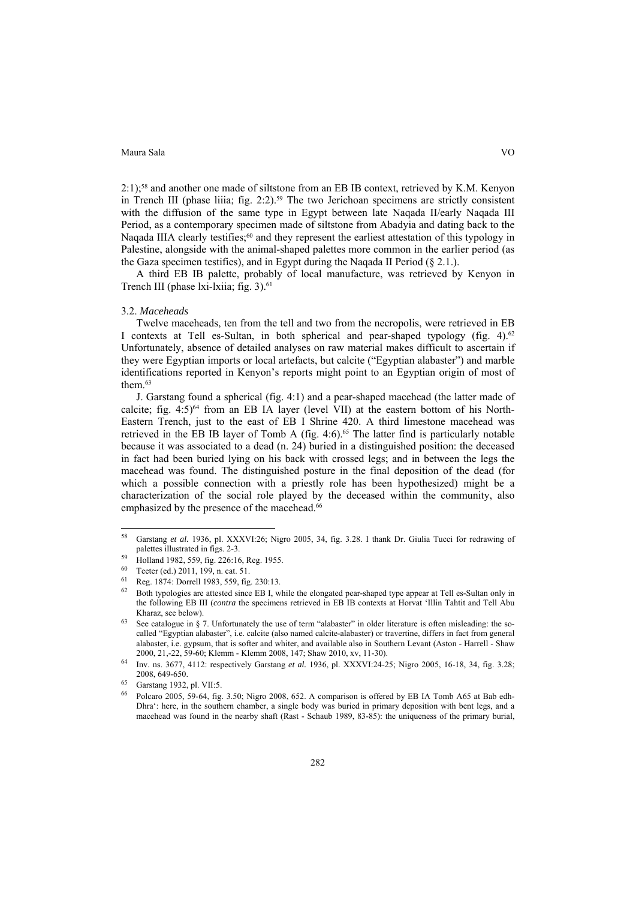2:1);58 and another one made of siltstone from an EB IB context, retrieved by K.M. Kenyon in Trench III (phase liiia; fig. 2:2).<sup>59</sup> The two Jerichoan specimens are strictly consistent with the diffusion of the same type in Egypt between late Naqada II/early Naqada III Period, as a contemporary specimen made of siltstone from Abadyia and dating back to the Naqada IIIA clearly testifies;<sup>60</sup> and they represent the earliest attestation of this typology in Palestine, alongside with the animal-shaped palettes more common in the earlier period (as the Gaza specimen testifies), and in Egypt during the Naqada II Period (§ 2.1.).

A third EB IB palette, probably of local manufacture, was retrieved by Kenyon in Trench III (phase lxi-lxiia; fig. 3).<sup>61</sup>

## 3.2. *Maceheads*

Twelve maceheads, ten from the tell and two from the necropolis, were retrieved in EB I contexts at Tell es-Sultan, in both spherical and pear-shaped typology (fig. 4).62 Unfortunately, absence of detailed analyses on raw material makes difficult to ascertain if they were Egyptian imports or local artefacts, but calcite ("Egyptian alabaster") and marble identifications reported in Kenyon's reports might point to an Egyptian origin of most of them<sup>63</sup>

J. Garstang found a spherical (fig. 4:1) and a pear-shaped macehead (the latter made of calcite; fig.  $4:5$ <sup>64</sup> from an EB IA layer (level VII) at the eastern bottom of his North-Eastern Trench, just to the east of EB I Shrine 420. A third limestone macehead was retrieved in the EB IB layer of Tomb A (fig. 4:6).<sup>65</sup> The latter find is particularly notable because it was associated to a dead (n. 24) buried in a distinguished position: the deceased in fact had been buried lying on his back with crossed legs; and in between the legs the macehead was found. The distinguished posture in the final deposition of the dead (for which a possible connection with a priestly role has been hypothesized) might be a characterization of the social role played by the deceased within the community, also emphasized by the presence of the macehead.<sup>66</sup>

 $\overline{a}$ 

<sup>58</sup> Garstang *et al.* 1936, pl. XXXVI:26; Nigro 2005, 34, fig. 3.28. I thank Dr. Giulia Tucci for redrawing of

 $^{59}$  Holland 1982, 559, fig. 226:16, Reg. 1955.

Teeter (ed.) 2011, 199, n. cat. 51.

<sup>61</sup> Reg. 1874: Dorrell 1983, 559, fig. 230:13.

<sup>62</sup> Both typologies are attested since EB I, while the elongated pear-shaped type appear at Tell es-Sultan only in the following EB III (*contra* the specimens retrieved in EB IB contexts at Horvat 'Illin Tahtit and Tell Abu Kharaz, see below).<br>
63 See catalogue in § 7. Unfortunately the use of term "alabaster" in older literature is often misleading: the so-

called "Egyptian alabaster", i.e. calcite (also named calcite-alabaster) or travertine, differs in fact from general alabaster, i.e. gypsum, that is softer and whiter, and available also in Southern Levant (Aston - Harrell - Shaw 2000, 21,-22, 59-60; Klemm - Klemm 2008, 147; Shaw 2010, xv, 11-30). 64 Inv. ns. 3677, 4112: respectively Garstang *et al.* 1936, pl. XXXVI:24-25; Nigro 2005, 16-18, 34, fig. 3.28;

<sup>2008, 649-650.&</sup>lt;br>
65 Garstang 1932, pl. VII:5.

<sup>66</sup> Polcaro 2005, 59-64, fig. 3.50; Nigro 2008, 652. A comparison is offered by EB IA Tomb A65 at Bab edh-Dhra': here, in the southern chamber, a single body was buried in primary deposition with bent legs, and a macehead was found in the nearby shaft (Rast - Schaub 1989, 83-85): the uniqueness of the primary burial,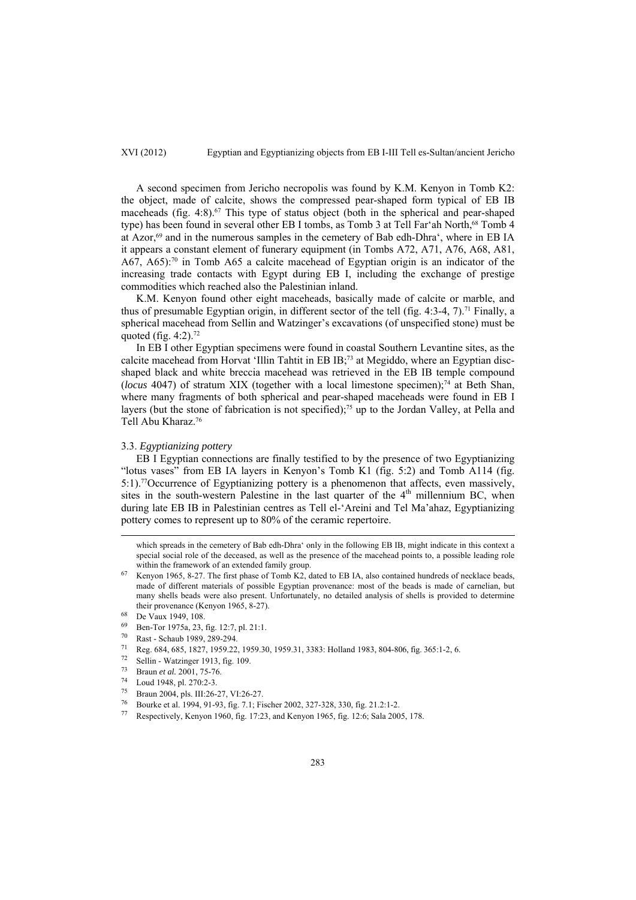A second specimen from Jericho necropolis was found by K.M. Kenyon in Tomb K2: the object, made of calcite, shows the compressed pear-shaped form typical of EB IB maceheads (fig.  $4:8$ ).<sup>67</sup> This type of status object (both in the spherical and pear-shaped type) has been found in several other EB I tombs, as Tomb 3 at Tell Far'ah North,<sup>68</sup> Tomb 4 at Azor,<sup>69</sup> and in the numerous samples in the cemetery of Bab edh-Dhra', where in EB IA it appears a constant element of funerary equipment (in Tombs A72, A71, A76, A68, A81, A67, A65):70 in Tomb A65 a calcite macehead of Egyptian origin is an indicator of the increasing trade contacts with Egypt during EB I, including the exchange of prestige commodities which reached also the Palestinian inland.

K.M. Kenyon found other eight maceheads, basically made of calcite or marble, and thus of presumable Egyptian origin, in different sector of the tell (fig. 4:3-4, 7).<sup>71</sup> Finally, a spherical macehead from Sellin and Watzinger's excavations (of unspecified stone) must be quoted (fig.  $4:2$ ).<sup>72</sup>

In EB I other Egyptian specimens were found in coastal Southern Levantine sites, as the calcite macehead from Horvat 'Illin Tahtit in EB IB;73 at Megiddo, where an Egyptian discshaped black and white breccia macehead was retrieved in the EB IB temple compound (*locus* 4047) of stratum XIX (together with a local limestone specimen);74 at Beth Shan, where many fragments of both spherical and pear-shaped maceheads were found in EB I layers (but the stone of fabrication is not specified);<sup>75</sup> up to the Jordan Valley, at Pella and Tell Abu Kharaz.76

### 3.3. *Egyptianizing pottery*

EB I Egyptian connections are finally testified to by the presence of two Egyptianizing "lotus vases" from EB IA layers in Kenyon's Tomb K1 (fig. 5:2) and Tomb A114 (fig. 5:1).77Occurrence of Egyptianizing pottery is a phenomenon that affects, even massively, sites in the south-western Palestine in the last quarter of the  $4<sup>th</sup>$  millennium BC, when during late EB IB in Palestinian centres as Tell el-'Areini and Tel Ma'ahaz, Egyptianizing pottery comes to represent up to 80% of the ceramic repertoire.

which spreads in the cemetery of Bab edh-Dhra' only in the following EB IB, might indicate in this context a special social role of the deceased, as well as the presence of the macehead points to, a possible leading role

within the framework of an extended family group.<br><sup>67</sup> Kenyon 1965, 8-27. The first phase of Tomb K2, dated to EB IA, also contained hundreds of necklace beads, made of different materials of possible Egyptian provenance: most of the beads is made of carnelian, but many shells beads were also present. Unfortunately, no detailed analysis of shells is provided to determine their provenance (Kenyon 1965, 8-27). 68 De Vaux 1949, 108.

- 69 Ben-Tor 1975a, 23, fig. 12:7, pl. 21:1.<br> $\frac{70}{70}$  Best. Sebeuh 1080, 280, 204
- $^{70}$  Rast Schaub 1989, 289-294.<br>  $^{71}$  Reg 684, 685, 1827, 1959.22
- 71 Reg. 684, 685, 1827, 1959.22, 1959.30, 1959.31, 3383: Holland 1983, 804-806, fig. 365:1-2, 6.<br>
72 Sellin Watzinger 1913, fig. 109.<br>
73 Denne 14. 2001, 75.76
- 
- 73 Braun *et al.* 2001, 75-76. 74 Loud 1948, pl. 270:2-3.
- 
- 75 Braun 2004, pls. III:26-27, VI:26-27.
- 
- <sup>76</sup> Bourke et al. 1994, 91-93, fig. 7.1; Fischer 2002, 327-328, 330, fig. 21.2:1-2. 77 Respectively, Kenyon 1960, fig. 17:23, and Kenyon 1965, fig. 12:6; Sala 2005, 178.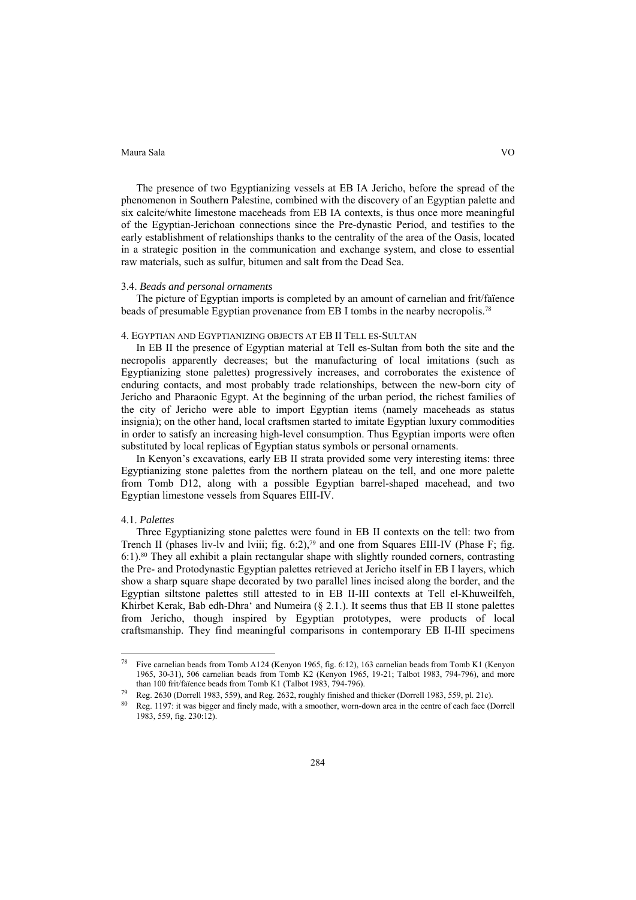The presence of two Egyptianizing vessels at EB IA Jericho, before the spread of the phenomenon in Southern Palestine, combined with the discovery of an Egyptian palette and six calcite/white limestone maceheads from EB IA contexts, is thus once more meaningful of the Egyptian-Jerichoan connections since the Pre-dynastic Period, and testifies to the early establishment of relationships thanks to the centrality of the area of the Oasis, located in a strategic position in the communication and exchange system, and close to essential raw materials, such as sulfur, bitumen and salt from the Dead Sea.

# 3.4. *Beads and personal ornaments*

The picture of Egyptian imports is completed by an amount of carnelian and frit/faïence beads of presumable Egyptian provenance from EB I tombs in the nearby necropolis.78

# 4. EGYPTIAN AND EGYPTIANIZING OBJECTS AT EB II TELL ES-SULTAN

In EB II the presence of Egyptian material at Tell es-Sultan from both the site and the necropolis apparently decreases; but the manufacturing of local imitations (such as Egyptianizing stone palettes) progressively increases, and corroborates the existence of enduring contacts, and most probably trade relationships, between the new-born city of Jericho and Pharaonic Egypt. At the beginning of the urban period, the richest families of the city of Jericho were able to import Egyptian items (namely maceheads as status insignia); on the other hand, local craftsmen started to imitate Egyptian luxury commodities in order to satisfy an increasing high-level consumption. Thus Egyptian imports were often substituted by local replicas of Egyptian status symbols or personal ornaments.

In Kenyon's excavations, early EB II strata provided some very interesting items: three Egyptianizing stone palettes from the northern plateau on the tell, and one more palette from Tomb D12, along with a possible Egyptian barrel-shaped macehead, and two Egyptian limestone vessels from Squares EIII-IV.

# 4.1. *Palettes*

 $\overline{a}$ 

Three Egyptianizing stone palettes were found in EB II contexts on the tell: two from Trench II (phases liv-ly and lyiii; fig. 6:2),<sup>79</sup> and one from Squares EIII-IV (Phase F; fig. 6:1).80 They all exhibit a plain rectangular shape with slightly rounded corners, contrasting the Pre- and Protodynastic Egyptian palettes retrieved at Jericho itself in EB I layers, which show a sharp square shape decorated by two parallel lines incised along the border, and the Egyptian siltstone palettes still attested to in EB II-III contexts at Tell el-Khuweilfeh, Khirbet Kerak, Bab edh-Dhra' and Numeira  $(\S$  2.1.). It seems thus that EB II stone palettes from Jericho, though inspired by Egyptian prototypes, were products of local craftsmanship. They find meaningful comparisons in contemporary EB II-III specimens

<sup>78</sup> Five carnelian beads from Tomb A124 (Kenyon 1965, fig. 6:12), 163 carnelian beads from Tomb K1 (Kenyon 1965, 30-31), 506 carnelian beads from Tomb K2 (Kenyon 1965, 19-21; Talbot 1983, 794-796), and more

than 100 frit/faïence beads from Tomb K1 (Talbot 1983, 794-796).<br>Reg. 2630 (Dorrell 1983, 559), and Reg. 2632, roughly finished and thicker (Dorrell 1983, 559, pl. 21c).<br>Reg. 1197: it was bigger and finely made, with a smo 1983, 559, fig. 230:12).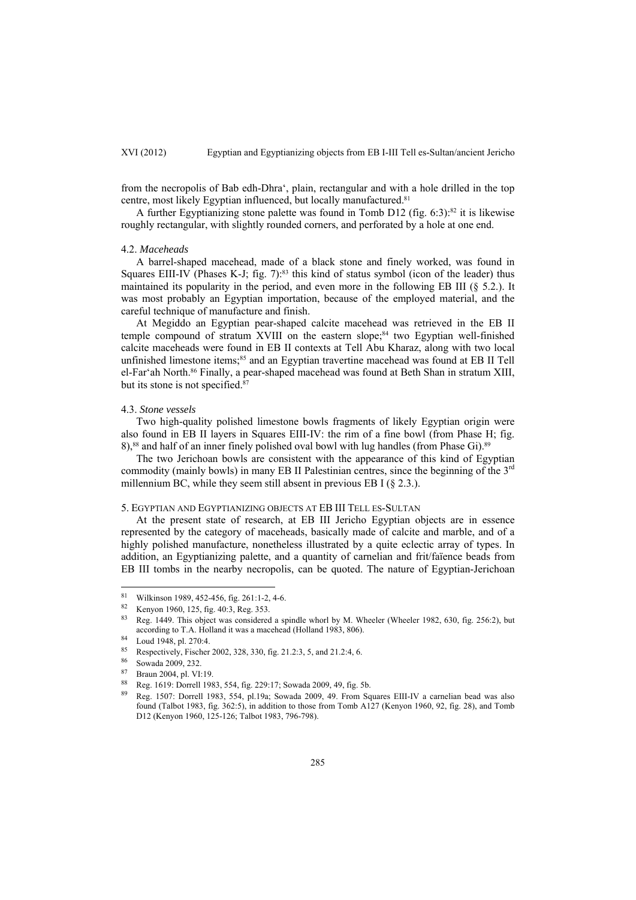from the necropolis of Bab edh-Dhra', plain, rectangular and with a hole drilled in the top centre, most likely Egyptian influenced, but locally manufactured.<sup>81</sup>

A further Egyptianizing stone palette was found in Tomb D12 (fig. 6:3):<sup>82</sup> it is likewise roughly rectangular, with slightly rounded corners, and perforated by a hole at one end.

## 4.2. *Maceheads*

A barrel-shaped macehead, made of a black stone and finely worked, was found in Squares EIII-IV (Phases K-J; fig. 7):<sup>83</sup> this kind of status symbol (icon of the leader) thus maintained its popularity in the period, and even more in the following EB III (§ 5.2.). It was most probably an Egyptian importation, because of the employed material, and the careful technique of manufacture and finish.

At Megiddo an Egyptian pear-shaped calcite macehead was retrieved in the EB II temple compound of stratum XVIII on the eastern slope;<sup>84</sup> two Egyptian well-finished calcite maceheads were found in EB II contexts at Tell Abu Kharaz, along with two local unfinished limestone items;<sup>85</sup> and an Egyptian travertine macehead was found at EB II Tell el-Far'ah North.<sup>86</sup> Finally, a pear-shaped macehead was found at Beth Shan in stratum XIII, but its stone is not specified.<sup>87</sup>

## 4.3. *Stone vessels*

Two high-quality polished limestone bowls fragments of likely Egyptian origin were also found in EB II layers in Squares EIII-IV: the rim of a fine bowl (from Phase H; fig. 8),<sup>88</sup> and half of an inner finely polished oval bowl with lug handles (from Phase Gi).<sup>89</sup>

The two Jerichoan bowls are consistent with the appearance of this kind of Egyptian commodity (mainly bowls) in many EB II Palestinian centres, since the beginning of the  $3<sup>rd</sup>$ millennium BC, while they seem still absent in previous EB I  $(§ 2.3.)$ .

# 5. EGYPTIAN AND EGYPTIANIZING OBJECTS AT EB III TELL ES-SULTAN

At the present state of research, at EB III Jericho Egyptian objects are in essence represented by the category of maceheads, basically made of calcite and marble, and of a highly polished manufacture, nonetheless illustrated by a quite eclectic array of types. In addition, an Egyptianizing palette, and a quantity of carnelian and frit/faïence beads from EB III tombs in the nearby necropolis, can be quoted. The nature of Egyptian-Jerichoan

 $\overline{a}$ 

<sup>&</sup>lt;sup>81</sup> Wilkinson 1989, 452-456, fig. 261:1-2, 4-6.

<sup>82</sup> Kenyon 1960, 125, fig. 40:3, Reg. 353.

<sup>83</sup> Reg. 1449. This object was considered a spindle whorl by M. Wheeler (Wheeler 1982, 630, fig. 256:2), but according to T.A. Holland it was a macehead (Holland 1983, 806).<br>
<sup>84</sup> Loud 1948, pl. 270:4.<br>
<sup>85</sup> Respectively, Fischer 2002, 328, 330, fig. 21.2:3, 5, and 21.2:4, 6.<br>
<sup>86</sup> Sowada 2009, 232.<br>
<sup>87</sup> Braun 2004, pl. VI:19.

<sup>88</sup> Reg. 1619: Dorrell 1983, 554, fig. 229:17; Sowada 2009, 49, fig. 5b.

<sup>89</sup> Reg. 1507: Dorrell 1983, 554, pl.19a; Sowada 2009, 49. From Squares EIII-IV a carnelian bead was also found (Talbot 1983, fig. 362:5), in addition to those from Tomb A127 (Kenyon 1960, 92, fig. 28), and Tomb D12 (Kenyon 1960, 125-126; Talbot 1983, 796-798).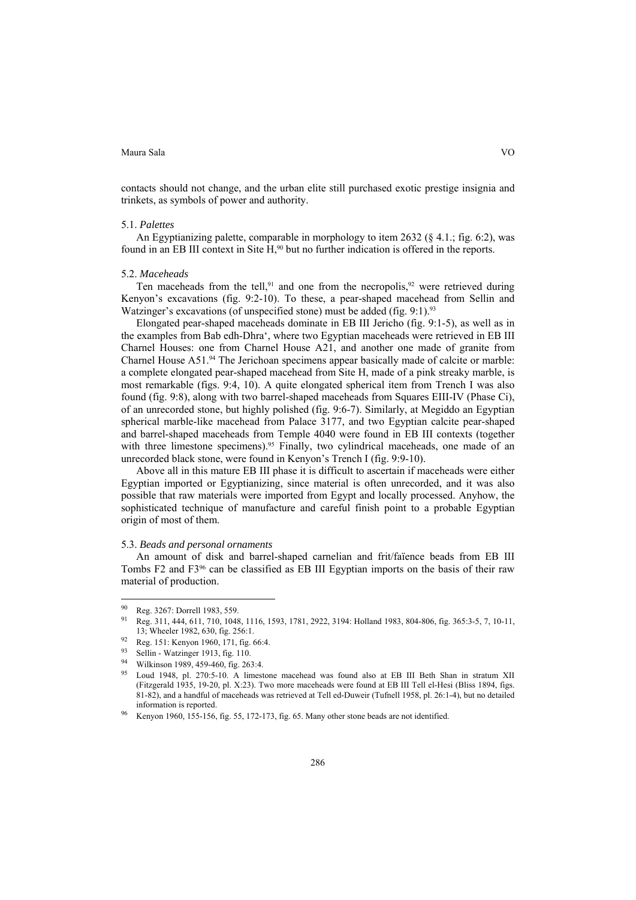contacts should not change, and the urban elite still purchased exotic prestige insignia and trinkets, as symbols of power and authority.

## 5.1. *Palettes*

An Egyptianizing palette, comparable in morphology to item 2632 (§ 4.1.; fig. 6:2), was found in an EB III context in Site H,<sup>90</sup> but no further indication is offered in the reports.

## 5.2. *Maceheads*

Ten maceheads from the tell,<sup>91</sup> and one from the necropolis,<sup>92</sup> were retrieved during Kenyon's excavations (fig. 9:2-10). To these, a pear-shaped macehead from Sellin and Watzinger's excavations (of unspecified stone) must be added (fig. 9:1).<sup>93</sup>

Elongated pear-shaped maceheads dominate in EB III Jericho (fig. 9:1-5), as well as in the examples from Bab edh-Dhra', where two Egyptian maceheads were retrieved in EB III Charnel Houses: one from Charnel House A21, and another one made of granite from Charnel House A51.94 The Jerichoan specimens appear basically made of calcite or marble: a complete elongated pear-shaped macehead from Site H, made of a pink streaky marble, is most remarkable (figs. 9:4, 10). A quite elongated spherical item from Trench I was also found (fig. 9:8), along with two barrel-shaped maceheads from Squares EIII-IV (Phase Ci), of an unrecorded stone, but highly polished (fig. 9:6-7). Similarly, at Megiddo an Egyptian spherical marble-like macehead from Palace 3177, and two Egyptian calcite pear-shaped and barrel-shaped maceheads from Temple 4040 were found in EB III contexts (together with three limestone specimens).<sup>95</sup> Finally, two cylindrical maceheads, one made of an unrecorded black stone, were found in Kenyon's Trench I (fig. 9:9-10).

Above all in this mature EB III phase it is difficult to ascertain if maceheads were either Egyptian imported or Egyptianizing, since material is often unrecorded, and it was also possible that raw materials were imported from Egypt and locally processed. Anyhow, the sophisticated technique of manufacture and careful finish point to a probable Egyptian origin of most of them.

# 5.3. *Beads and personal ornaments*

An amount of disk and barrel-shaped carnelian and frit/faïence beads from EB III Tombs F2 and F396 can be classified as EB III Egyptian imports on the basis of their raw material of production.

 $\overline{a}$ 

<sup>90</sup> Reg. 3267: Dorrell 1983, 559.

<sup>91</sup> Reg. 311, 444, 611, 710, 1048, 1116, 1593, 1781, 2922, 3194: Holland 1983, 804-806, fig. 365:3-5, 7, 10-11,

<sup>13;</sup> Wheeler 1982, 630, fig. 256:1.<br>
92 Reg. 151: Kenyon 1960, 171, fig. 66:4.<br>
93 Sollin Watzinger 1913, fig. 110.

<sup>93</sup> Sellin - Watzinger 1913, fig. 110.<br>94 Wilkinson 1989, 459-460, fig. 26.

<sup>94</sup> Wilkinson 1989, 459-460, fig. 263:4.

<sup>95</sup> Loud 1948, pl. 270:5-10. A limestone macehead was found also at EB III Beth Shan in stratum XII (Fitzgerald 1935, 19-20, pl. X:23). Two more maceheads were found at EB III Tell el-Hesi (Bliss 1894, figs. 81-82), and a handful of maceheads was retrieved at Tell ed-Duweir (Tufnell 1958, pl. 26:1-4), but no detailed information is reported.<br>Kenyon 1960, 155-156, fig. 55, 172-173, fig. 65. Many other stone beads are not identified.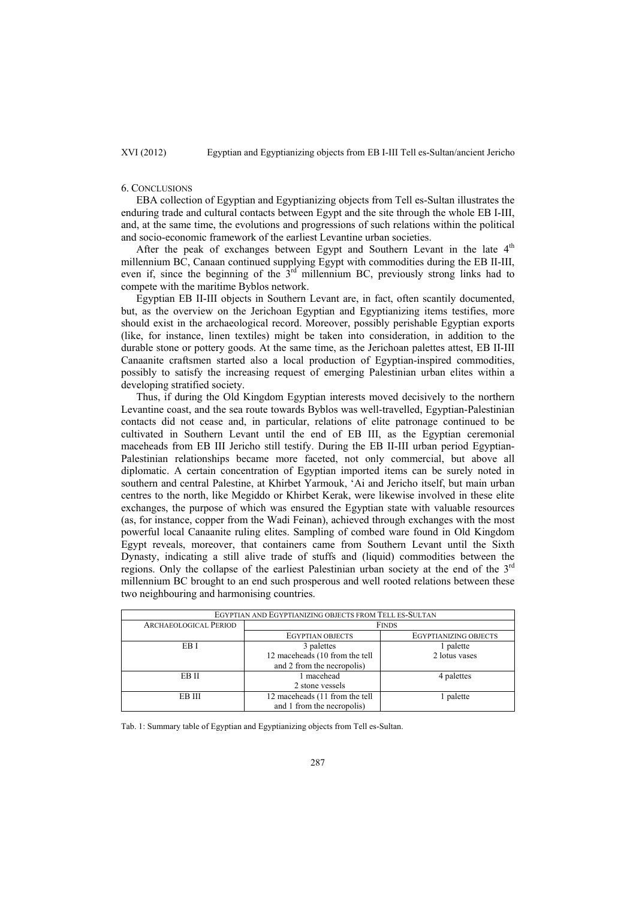## 6. CONCLUSIONS

EBA collection of Egyptian and Egyptianizing objects from Tell es-Sultan illustrates the enduring trade and cultural contacts between Egypt and the site through the whole EB I-III, and, at the same time, the evolutions and progressions of such relations within the political and socio-economic framework of the earliest Levantine urban societies.

After the peak of exchanges between Egypt and Southern Levant in the late  $4<sup>th</sup>$ millennium BC, Canaan continued supplying Egypt with commodities during the EB II-III, even if, since the beginning of the  $3<sup>rd</sup>$  millennium BC, previously strong links had to compete with the maritime Byblos network.

Egyptian EB II-III objects in Southern Levant are, in fact, often scantily documented, but, as the overview on the Jerichoan Egyptian and Egyptianizing items testifies, more should exist in the archaeological record. Moreover, possibly perishable Egyptian exports (like, for instance, linen textiles) might be taken into consideration, in addition to the durable stone or pottery goods. At the same time, as the Jerichoan palettes attest, EB II-III Canaanite craftsmen started also a local production of Egyptian-inspired commodities, possibly to satisfy the increasing request of emerging Palestinian urban elites within a developing stratified society.

Thus, if during the Old Kingdom Egyptian interests moved decisively to the northern Levantine coast, and the sea route towards Byblos was well-travelled, Egyptian-Palestinian contacts did not cease and, in particular, relations of elite patronage continued to be cultivated in Southern Levant until the end of EB III, as the Egyptian ceremonial maceheads from EB III Jericho still testify. During the EB II-III urban period Egyptian-Palestinian relationships became more faceted, not only commercial, but above all diplomatic. A certain concentration of Egyptian imported items can be surely noted in southern and central Palestine, at Khirbet Yarmouk, 'Ai and Jericho itself, but main urban centres to the north, like Megiddo or Khirbet Kerak, were likewise involved in these elite exchanges, the purpose of which was ensured the Egyptian state with valuable resources (as, for instance, copper from the Wadi Feinan), achieved through exchanges with the most powerful local Canaanite ruling elites. Sampling of combed ware found in Old Kingdom Egypt reveals, moreover, that containers came from Southern Levant until the Sixth Dynasty, indicating a still alive trade of stuffs and (liquid) commodities between the regions. Only the collapse of the earliest Palestinian urban society at the end of the  $3<sup>rd</sup>$ millennium BC brought to an end such prosperous and well rooted relations between these two neighbouring and harmonising countries.

| EGYPTIAN AND EGYPTIANIZING OBJECTS FROM TELL ES-SULTAN |                                |                              |  |  |
|--------------------------------------------------------|--------------------------------|------------------------------|--|--|
| <b>ARCHAEOLOGICAL PERIOD</b>                           | <b>FINDS</b>                   |                              |  |  |
|                                                        | <b>EGYPTIAN OBJECTS</b>        | <b>EGYPTIANIZING OBJECTS</b> |  |  |
| EB I                                                   | 3 palettes                     | 1 palette                    |  |  |
|                                                        | 12 maceheads (10 from the tell | 2 lotus vases                |  |  |
|                                                        | and 2 from the necropolis)     |                              |  |  |
| EB II                                                  | 1 macehead                     | 4 palettes                   |  |  |
|                                                        | 2 stone vessels                |                              |  |  |
| EB III                                                 | 12 maceheads (11 from the tell | 1 palette                    |  |  |
|                                                        | and 1 from the necropolis)     |                              |  |  |

Tab. 1: Summary table of Egyptian and Egyptianizing objects from Tell es-Sultan.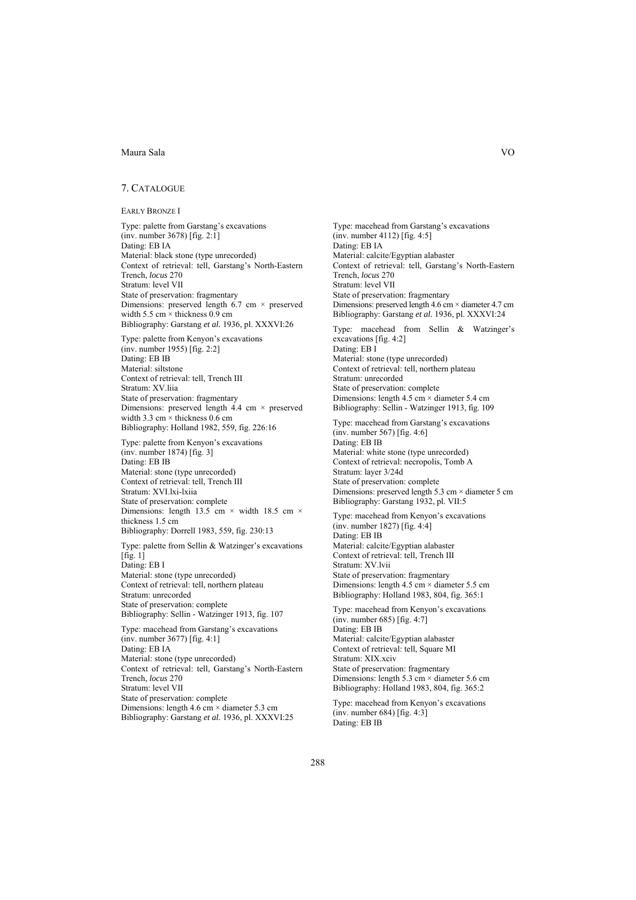## 7. CATALOGUE

EARLY BRONZE I

Type: palette from Garstang's excavations (inv. number 3678) [fig. 2:1] Dating: EB IA Material: black stone (type unrecorded) Context of retrieval: tell, Garstang's North-Eastern Trench, *locus* 270 Stratum: level VII State of preservation: fragmentary Dimensions: preserved length  $6.7 \text{ cm} \times \text{preserved}$ width 5.5 cm  $\times$  thickness 0.9 cm Bibliography: Garstang *et al.* 1936, pl. XXXVI:26 Type: palette from Kenyon's excavations (inv. number 1955) [fig. 2:2] Dating: EB IB Material: siltstone Context of retrieval: tell, Trench III Stratum: XV.liia State of preservation: fragmentary Dimensions: preserved length  $4.4 \text{ cm} \times \text{preserved}$ width 3.3 cm  $\times$  thickness 0.6 cm Bibliography: Holland 1982, 559, fig. 226:16 Type: palette from Kenyon's excavations (inv. number 1874) [fig. 3] Dating: EB IB Material: stone (type unrecorded) Context of retrieval: tell, Trench III Stratum: XVI.lxi-lxiia State of preservation: complete Dimensions: length  $13.5$  cm  $\times$  width 18.5 cm  $\times$ thickness 1.5 cm Bibliography: Dorrell 1983, 559, fig. 230:13 Type: palette from Sellin & Watzinger's excavations  $[\text{fig. 1}]$ Dating: EB I Material: stone (type unrecorded) Context of retrieval: tell, northern plateau Stratum: unrecorded State of preservation: complete Bibliography: Sellin - Watzinger 1913, fig. 107 Type: macehead from Garstang's excavations (inv. number 3677) [fig. 4:1]

Dating: EB IA Material: stone (type unrecorded) Context of retrieval: tell, Garstang's North-Eastern Trench, *locus* 270 Stratum: level VII State of preservation: complete Dimensions: length  $4.6 \text{ cm} \times \text{diameter} 5.3 \text{ cm}$ Bibliography: Garstang *et al.* 1936, pl. XXXVI:25

Type: macehead from Garstang's excavations (inv. number 4112) [fig. 4:5] Dating: EB IA Material: calcite/Egyptian alabaster Context of retrieval: tell, Garstang's North-Eastern Trench, *locus* 270 Stratum: level VII State of preservation: fragmentary Dimensions: preserved length 4.6 cm × diameter 4.7 cm Bibliography: Garstang *et al.* 1936, pl. XXXVI:24 Type: macehead from Sellin & Watzinger's excavations [fig. 4:2] Dating: EB I Material: stone (type unrecorded) Context of retrieval: tell, northern plateau Stratum: unrecorded

State of preservation: complete Dimensions: length  $4.5 \text{ cm} \times \text{diameter } 5.4 \text{ cm}$ Bibliography: Sellin - Watzinger 1913, fig. 109

Type: macehead from Garstang's excavations (inv. number 567) [fig. 4:6] Dating: EB IB Material: white stone (type unrecorded) Context of retrieval: necropolis, Tomb A Stratum: layer 3/24d State of preservation: complete Dimensions: preserved length  $5.3 \text{ cm} \times \text{diameter 5 cm}$ Bibliography: Garstang 1932, pl. VII:5 Type: macehead from Kenyon's excavations

(inv. number 1827) [fig. 4:4] Dating: EB IB Material: calcite/Egyptian alabaster Context of retrieval: tell, Trench III Stratum: XV.lvii State of preservation: fragmentary Dimensions: length  $4.5 \text{ cm} \times \text{diameter} 5.5 \text{ cm}$ Bibliography: Holland 1983, 804, fig. 365:1

Type: macehead from Kenyon's excavations (inv. number 685) [fig. 4:7] Dating: EB IB Material: calcite/Egyptian alabaster Context of retrieval: tell, Square MI Stratum: XIX.xciv State of preservation: fragmentary Dimensions: length  $5.3 \text{ cm} \times \text{diameter} 5.6 \text{ cm}$ Bibliography: Holland 1983, 804, fig. 365:2 Type: macehead from Kenyon's excavations

(inv. number 684) [fig. 4:3] Dating: EB IB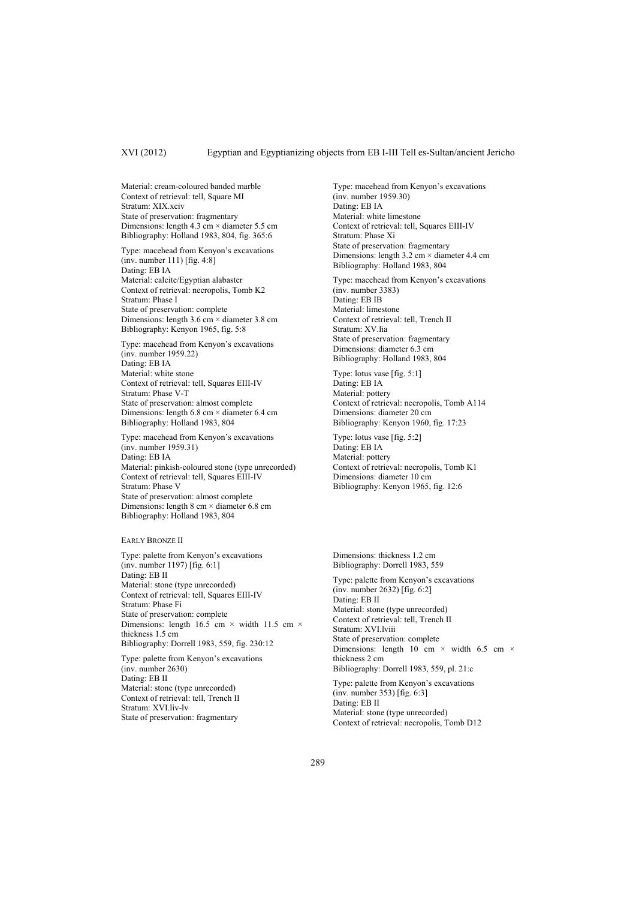Material: cream-coloured banded marble Context of retrieval: tell, Square MI Stratum: XIX.xciv State of preservation: fragmentary Dimensions: length 4.3 cm × diameter 5.5 cm Bibliography: Holland 1983, 804, fig. 365:6

Type: macehead from Kenyon's excavations (inv. number 111) [fig. 4:8] Dating: EB IA Material: calcite/Egyptian alabaster Context of retrieval: necropolis, Tomb K2 Stratum: Phase I State of preservation: complete Dimensions: length 3.6 cm × diameter 3.8 cm Bibliography: Kenyon 1965, fig. 5:8

Type: macehead from Kenyon's excavations (inv. number 1959.22) Dating: EB IA Material: white stone Context of retrieval: tell, Squares EIII-IV Stratum: Phase V-T State of preservation: almost complete Dimensions: length  $6.8 \text{ cm} \times \text{diameter } 6.4 \text{ cm}$ Bibliography: Holland 1983, 804

Type: macehead from Kenyon's excavations (inv. number 1959.31) Dating: EB IA Material: pinkish-coloured stone (type unrecorded) Context of retrieval: tell, Squares EIII-IV Stratum: Phase V State of preservation: almost complete Dimensions: length 8 cm × diameter 6.8 cm Bibliography: Holland 1983, 804

EARLY BRONZE II

Type: palette from Kenyon's excavations (inv. number 1197) [fig. 6:1] Dating: EB II Material: stone (type unrecorded) Context of retrieval: tell, Squares EIII-IV Stratum: Phase Fi State of preservation: complete Dimensions: length 16.5 cm  $\times$  width 11.5 cm  $\times$ thickness 1.5 cm Bibliography: Dorrell 1983, 559, fig. 230:12 Type: palette from Kenyon's excavations (inv. number 2630)

Dating: EB II Material: stone (type unrecorded) Context of retrieval: tell, Trench II Stratum: XVI.liv-lv State of preservation: fragmentary

Type: macehead from Kenyon's excavations (inv. number 1959.30) Dating: EB IA Material: white limestone Context of retrieval: tell, Squares EIII-IV Stratum: Phase Xi State of preservation: fragmentary Dimensions: length  $3.2 \text{ cm} \times \text{diameter} 4.4 \text{ cm}$ Bibliography: Holland 1983, 804

Type: macehead from Kenyon's excavations (inv. number 3383) Dating: EB IB Material: limestone Context of retrieval: tell, Trench II Stratum: XV.lia State of preservation: fragmentary Dimensions: diameter 6.3 cm Bibliography: Holland 1983, 804

Type: lotus vase [fig. 5:1] Dating: EB IA Material: pottery Context of retrieval: necropolis, Tomb A114 Dimensions: diameter 20 cm Bibliography: Kenyon 1960, fig. 17:23

Type: lotus vase [fig. 5:2] Dating: EB IA Material: pottery Context of retrieval: necropolis, Tomb K1 Dimensions: diameter 10 cm Bibliography: Kenyon 1965, fig. 12:6

Dimensions: thickness 1.2 cm Bibliography: Dorrell 1983, 559

Type: palette from Kenyon's excavations (inv. number 2632) [fig. 6:2] Dating: EB II Material: stone (type unrecorded) Context of retrieval: tell, Trench II Stratum: XVI.lviii State of preservation: complete Dimensions: length 10 cm  $\times$  width 6.5 cm  $\times$ thickness 2 cm Bibliography: Dorrell 1983, 559, pl. 21:c

Type: palette from Kenyon's excavations (inv. number 353) [fig. 6:3] Dating: EB II Material: stone (type unrecorded) Context of retrieval: necropolis, Tomb D12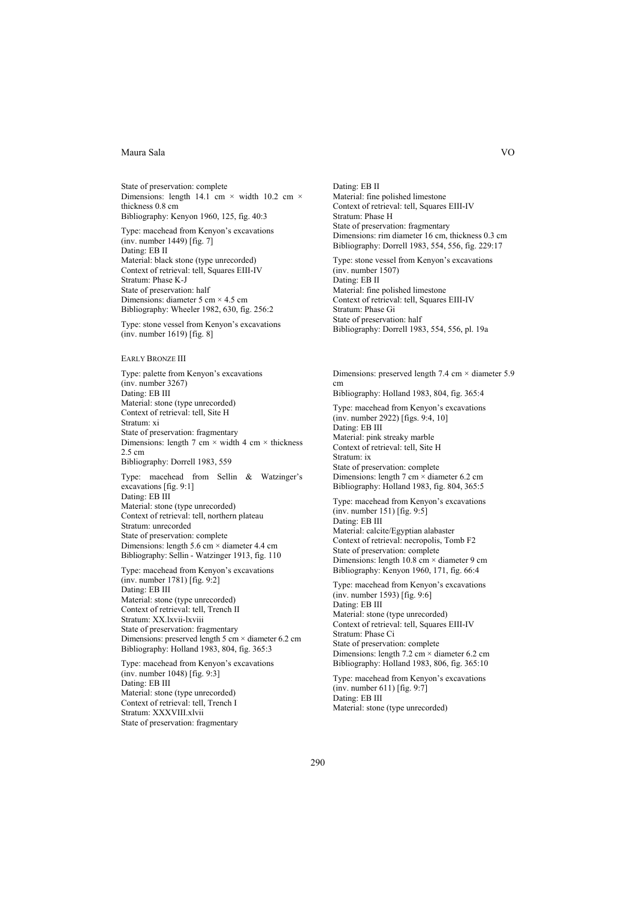State of preservation: complete Dimensions: length 14.1 cm  $\times$  width 10.2 cm  $\times$ thickness 0.8 cm Bibliography: Kenyon 1960, 125, fig. 40:3

Type: macehead from Kenyon's excavations  $(i$ nv. number 1449) [fig. 7] Dating: EB II Material: black stone (type unrecorded) Context of retrieval: tell, Squares EIII-IV Stratum: Phase K-J State of preservation: half Dimensions: diameter 5 cm  $\times$  4.5 cm Bibliography: Wheeler 1982, 630, fig. 256:2

Type: stone vessel from Kenyon's excavations (inv. number 1619) [fig. 8]

#### EARLY BRONZE III

Type: palette from Kenyon's excavations (inv. number 3267) Dating: EB III Material: stone (type unrecorded) Context of retrieval: tell, Site H Stratum: xi State of preservation: fragmentary Dimensions: length 7 cm  $\times$  width 4 cm  $\times$  thickness 2.5 cm Bibliography: Dorrell 1983, 559

Type: macehead from Sellin & Watzinger's excavations [fig. 9:1] Dating: EB III Material: stone (type unrecorded) Context of retrieval: tell, northern plateau Stratum: unrecorded State of preservation: complete Dimensions: length  $5.6 \text{ cm} \times \text{diameter}$  4.4 cm Bibliography: Sellin - Watzinger 1913, fig. 110

Type: macehead from Kenyon's excavations (inv. number 1781) [fig. 9:2] Dating: EB III Material: stone (type unrecorded) Context of retrieval: tell, Trench II Stratum: XX.lxvii-lxviii State of preservation: fragmentary Dimensions: preserved length 5 cm  $\times$  diameter 6.2 cm Bibliography: Holland 1983, 804, fig. 365:3

Type: macehead from Kenyon's excavations (inv. number 1048) [fig. 9:3] Dating: EB III Material: stone (type unrecorded) Context of retrieval: tell, Trench I Stratum: XXXVIII.xlvii State of preservation: fragmentary

Dating: EB II Material: fine polished limestone Context of retrieval: tell, Squares EIII-IV Stratum: Phase H State of preservation: fragmentary Dimensions: rim diameter 16 cm, thickness 0.3 cm Bibliography: Dorrell 1983, 554, 556, fig. 229:17

Type: stone vessel from Kenyon's excavations (inv. number 1507) Dating: EB II Material: fine polished limestone Context of retrieval: tell, Squares EIII-IV Stratum: Phase Gi State of preservation: half Bibliography: Dorrell 1983, 554, 556, pl. 19a

Dimensions: preserved length 7.4 cm × diameter 5.9 cm Bibliography: Holland 1983, 804, fig. 365:4 Type: macehead from Kenyon's excavations (inv. number 2922) [figs. 9:4, 10] Dating: EB III Material: pink streaky marble Context of retrieval: tell, Site H Stratum: ix State of preservation: complete Dimensions: length 7 cm  $\times$  diameter 6.2 cm Bibliography: Holland 1983, fig. 804, 365:5

Type: macehead from Kenyon's excavations (inv. number 151) [fig. 9:5] Dating: EB III Material: calcite/Egyptian alabaster Context of retrieval: necropolis, Tomb F2 State of preservation: complete Dimensions: length 10.8 cm × diameter 9 cm Bibliography: Kenyon 1960, 171, fig. 66:4

Type: macehead from Kenyon's excavations (inv. number 1593) [fig. 9:6] Dating: EB III Material: stone (type unrecorded) Context of retrieval: tell, Squares EIII-IV Stratum: Phase Ci State of preservation: complete Dimensions: length  $7.2 \text{ cm} \times \text{diameter } 6.2 \text{ cm}$ Bibliography: Holland 1983, 806, fig. 365:10

Type: macehead from Kenyon's excavations (inv. number 611) [fig. 9:7] Dating: EB III Material: stone (type unrecorded)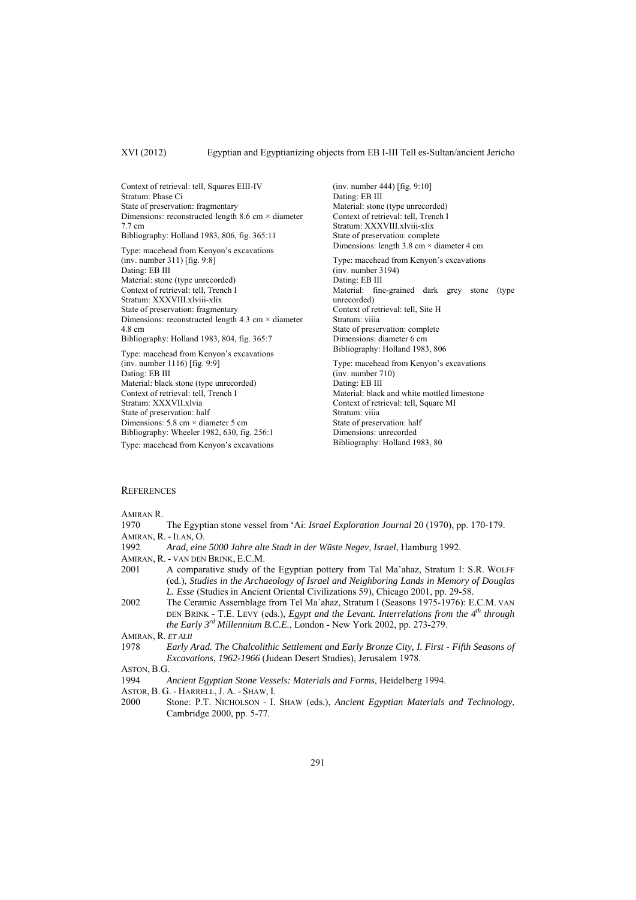Context of retrieval: tell, Squares EIII-IV Stratum: Phase Ci State of preservation: fragmentary Dimensions: reconstructed length 8.6 cm  $\times$  diameter 7.7 cm Bibliography: Holland 1983, 806, fig. 365:11 Type: macehead from Kenyon's excavations (inv. number 311) [fig. 9:8] Dating: EB III Material: stone (type unrecorded) Context of retrieval: tell, Trench I Stratum: XXXVIII.xlviii-xlix State of preservation: fragmentary Dimensions: reconstructed length 4.3 cm × diameter 4.8 cm Bibliography: Holland 1983, 804, fig. 365:7 Type: macehead from Kenyon's excavations (inv. number 1116) [fig. 9:9] Dating: EB III Material: black stone (type unrecorded) Context of retrieval: tell, Trench I Stratum: XXXVII xlvia

State of preservation: half Dimensions: 5.8 cm × diameter 5 cm Bibliography: Wheeler 1982, 630, fig. 256:1

Type: macehead from Kenyon's excavations

(inv. number 444) [fig. 9:10] Dating: EB III Material: stone (type unrecorded) Context of retrieval: tell, Trench I Stratum: XXXVIII.xlviii-xlix State of preservation: complete Dimensions: length  $3.8 \text{ cm} \times \text{diameter} 4 \text{ cm}$ Type: macehead from Kenyon's excavations (inv. number 3194) Dating: EB III Material: fine-grained dark grey stone (type unrecorded) Context of retrieval: tell, Site H Stratum: viiia State of preservation: complete Dimensions: diameter 6 cm Bibliography: Holland 1983, 806 Type: macehead from Kenyon's excavations (inv. number 710) Dating: EB III Material: black and white mottled limestone Context of retrieval: tell, Square MI Stratum: viiia

State of preservation: half Dimensions: unrecorded Bibliography: Holland 1983, 80

#### **REFERENCES**

AMIRAN R.

- 1970 The Egyptian stone vessel from 'Ai: *Israel Exploration Journal* 20 (1970), pp. 170-179. AMIRAN, R. - ILAN, O.
- 
- 1992 *Arad, eine 5000 Jahre alte Stadt in der Wüste Negev, Israel*, Hamburg 1992.
- AMIRAN, R. VAN DEN BRINK, E.C.M.
- 2001 A comparative study of the Egyptian pottery from Tal Ma'ahaz, Stratum I: S.R. WOLFF (ed.), *Studies in the Archaeology of Israel and Neighboring Lands in Memory of Douglas L. Esse* (Studies in Ancient Oriental Civilizations 59), Chicago 2001, pp. 29-58.
- 2002 The Ceramic Assemblage from Tel Ma᾽ahaz, Stratum I (Seasons 1975-1976): E.C.M. VAN DEN BRINK - T.E. LEVY (eds.), *Egypt and the Levant. Interrelations from the* 4<sup>th</sup> through *the Early 3rd Millennium B.C.E.*, London - New York 2002, pp. 273-279.

1978 *Early Arad. The Chalcolithic Settlement and Early Bronze City, I. First - Fifth Seasons of Excavations, 1962-1966* (Judean Desert Studies), Jerusalem 1978.

- 1994 *Ancient Egyptian Stone Vessels: Materials and Forms*, Heidelberg 1994.
- ASTOR, B. G. HARRELL, J. A. SHAW, I.
- 2000 Stone: P.T. NICHOLSON I. SHAW (eds.), *Ancient Egyptian Materials and Technology*, Cambridge 2000, pp. 5-77.

AMIRAN, R. *ET ALII*

ASTON, B.G.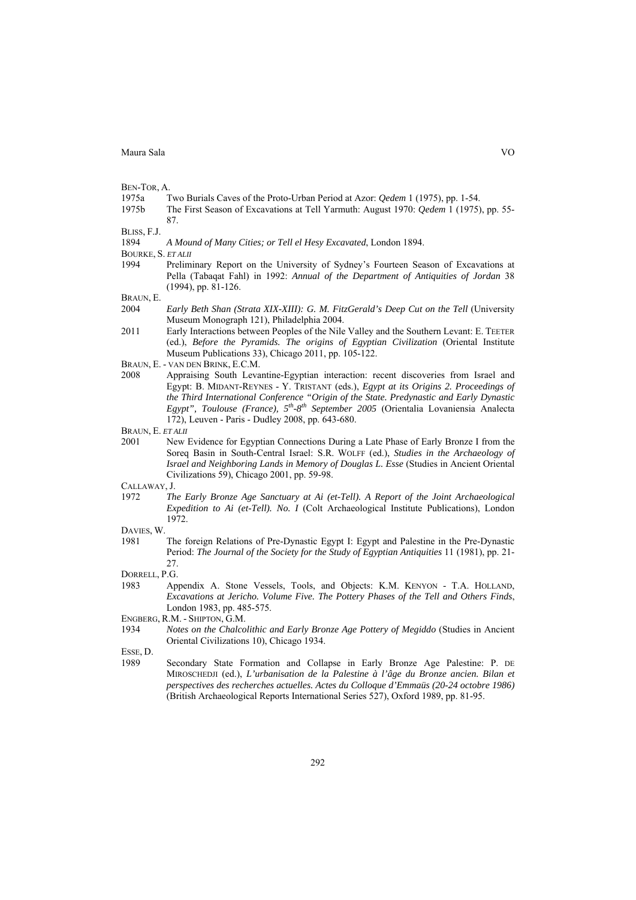BEN-TOR, A.

1975a Two Burials Caves of the Proto-Urban Period at Azor: *Qedem* 1 (1975), pp. 1-54.

1975b The First Season of Excavations at Tell Yarmuth: August 1970: *Qedem* 1 (1975), pp. 55- 87.

BLISS, F.J.

BOURKE, S. *ET ALII*

1994 Preliminary Report on the University of Sydney's Fourteen Season of Excavations at Pella (Tabaqat Fahl) in 1992: *Annual of the Department of Antiquities of Jordan* 38 (1994), pp. 81-126.

BRAUN, E.

- 2004 *Early Beth Shan (Strata XIX-XIII): G. M. FitzGerald's Deep Cut on the Tell* (University Museum Monograph 121), Philadelphia 2004.
- 2011 Early Interactions between Peoples of the Nile Valley and the Southern Levant: E. TEETER (ed.), *Before the Pyramids. The origins of Egyptian Civilization* (Oriental Institute Museum Publications 33), Chicago 2011, pp. 105-122.
- BRAUN, E. VAN DEN BRINK, E.C.M.
- 2008 Appraising South Levantine-Egyptian interaction: recent discoveries from Israel and Egypt: B. MIDANT-REYNES - Y. TRISTANT (eds.), *Egypt at its Origins 2. Proceedings of the Third International Conference "Origin of the State. Predynastic and Early Dynastic Egypt", Toulouse (France), 5th-8th September 2005* (Orientalia Lovaniensia Analecta 172), Leuven - Paris - Dudley 2008, pp. 643-680.

BRAUN, E. *ET ALII*

2001 New Evidence for Egyptian Connections During a Late Phase of Early Bronze I from the Soreq Basin in South-Central Israel: S.R. WOLFF (ed.), *Studies in the Archaeology of Israel and Neighboring Lands in Memory of Douglas L. Esse* (Studies in Ancient Oriental Civilizations 59), Chicago 2001, pp. 59-98.

CALLAWAY, J.

- 1972 *The Early Bronze Age Sanctuary at Ai (et-Tell). A Report of the Joint Archaeological Expedition to Ai (et-Tell). No. I* (Colt Archaeological Institute Publications), London 1972.
- DAVIES, W.
- 1981 The foreign Relations of Pre-Dynastic Egypt I: Egypt and Palestine in the Pre-Dynastic Period: *The Journal of the Society for the Study of Egyptian Antiquities* 11 (1981), pp. 21- 27.

DORRELL, P.G.

- 1983 Appendix A. Stone Vessels, Tools, and Objects: K.M. KENYON T.A. HOLLAND, *Excavations at Jericho. Volume Five. The Pottery Phases of the Tell and Others Finds*, London 1983, pp. 485-575.
- ENGBERG, R.M. SHIPTON, G.M.
- 1934 *Notes on the Chalcolithic and Early Bronze Age Pottery of Megiddo* (Studies in Ancient Oriental Civilizations 10), Chicago 1934.

ESSE, D.

1989 Secondary State Formation and Collapse in Early Bronze Age Palestine: P. DE MIROSCHEDJI (ed.), *L'urbanisation de la Palestine à l'âge du Bronze ancien. Bilan et perspectives des recherches actuelles. Actes du Colloque d'Emmaüs (20-24 octobre 1986)* (British Archaeological Reports International Series 527), Oxford 1989, pp. 81-95.

<sup>1894</sup> *A Mound of Many Cities; or Tell el Hesy Excavated*, London 1894.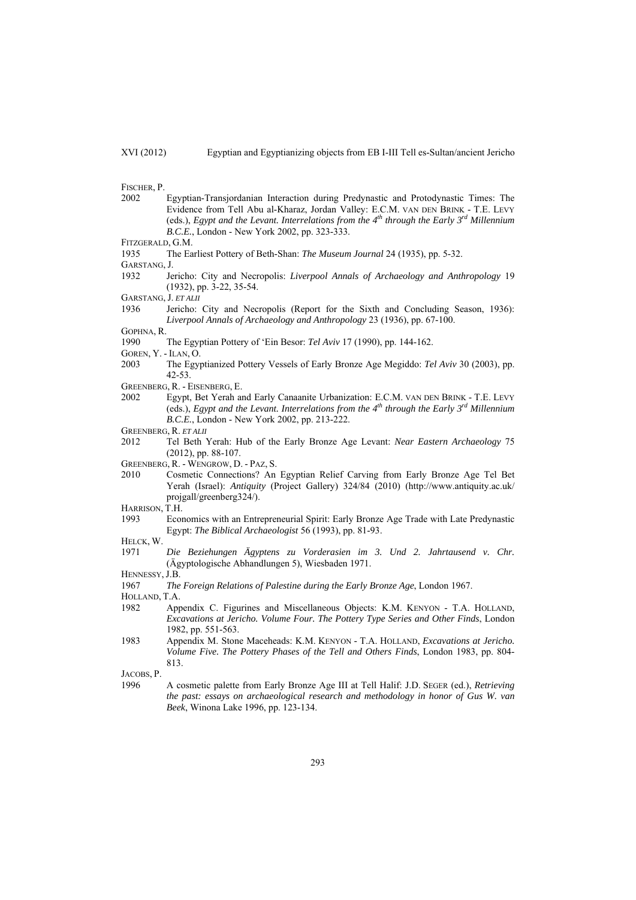FISCHER, P.

- 2002 Egyptian-Transjordanian Interaction during Predynastic and Protodynastic Times: The Evidence from Tell Abu al-Kharaz, Jordan Valley: E.C.M. VAN DEN BRINK - T.E. LEVY (eds.), *Egypt and the Levant. Interrelations from the 4th through the Early 3rd Millennium B.C.E.*, London - New York 2002, pp. 323-333.
- FITZGERALD, G.M.
- 1935 The Earliest Pottery of Beth-Shan: *The Museum Journal* 24 (1935), pp. 5-32.
- GARSTANG, J.
- 1932 Jericho: City and Necropolis: *Liverpool Annals of Archaeology and Anthropology* 19 (1932), pp. 3-22, 35-54.
- GARSTANG, J. *ET ALII*
- 1936 Jericho: City and Necropolis (Report for the Sixth and Concluding Season, 1936): *Liverpool Annals of Archaeology and Anthropology* 23 (1936), pp. 67-100.

GOPHNA, R.

- 1990 The Egyptian Pottery of 'Ein Besor: *Tel Aviv* 17 (1990), pp. 144-162.
- GOREN, Y. ILAN, O.
- 2003 The Egyptianized Pottery Vessels of Early Bronze Age Megiddo: *Tel Aviv* 30 (2003), pp. 42-53.
- GREENBERG, R. EISENBERG, E.
- 2002 Egypt, Bet Yerah and Early Canaanite Urbanization: E.C.M. VAN DEN BRINK T.E. LEVY (eds.), *Egypt and the Levant. Interrelations from the*  $4^{th}$  through the *Early*  $3^{rd}$  Millennium *B.C.E.*, London - New York 2002, pp. 213-222.
- GREENBERG, R. *ET ALII*
- 2012 Tel Beth Yerah: Hub of the Early Bronze Age Levant: *Near Eastern Archaeology* 75 (2012), pp. 88-107.
- GREENBERG, R. WENGROW, D. PAZ, S.
- 2010 Cosmetic Connections? An Egyptian Relief Carving from Early Bronze Age Tel Bet Yerah (Israel): *Antiquity* (Project Gallery) 324/84 (2010) (http://www.antiquity.ac.uk/ projgall/greenberg324/).
- HARRISON, T.H.
- 1993 Economics with an Entrepreneurial Spirit: Early Bronze Age Trade with Late Predynastic Egypt: *The Biblical Archaeologist* 56 (1993), pp. 81-93.
- HELCK, W.
- 1971 *Die Beziehungen Ägyptens zu Vorderasien im 3. Und 2. Jahrtausend v. Chr.* (Ägyptologische Abhandlungen 5), Wiesbaden 1971.
- HENNESSY, J.B.
- 1967 *The Foreign Relations of Palestine during the Early Bronze Age*, London 1967.

HOLLAND, T.A.

- 1982 Appendix C. Figurines and Miscellaneous Objects: K.M. KENYON T.A. HOLLAND, *Excavations at Jericho. Volume Four. The Pottery Type Series and Other Finds*, London 1982, pp. 551-563.
- 1983 Appendix M. Stone Maceheads: K.M. KENYON T.A. HOLLAND, *Excavations at Jericho. Volume Five. The Pottery Phases of the Tell and Others Finds*, London 1983, pp. 804- 813.

JACOBS, P.

1996 A cosmetic palette from Early Bronze Age III at Tell Halif: J.D. SEGER (ed.), *Retrieving the past: essays on archaeological research and methodology in honor of Gus W. van Beek*, Winona Lake 1996, pp. 123-134.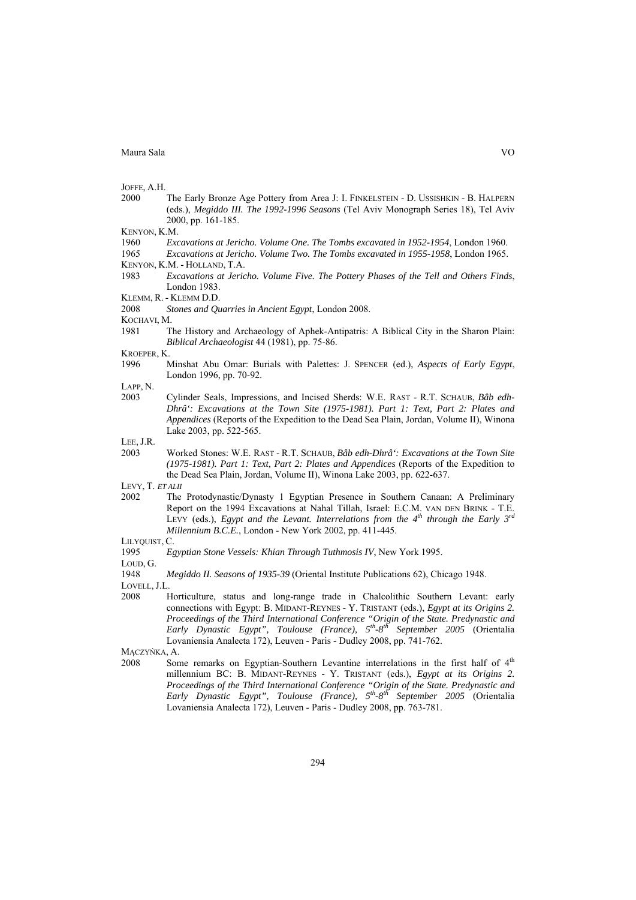JOFFE, A.H.

- 2000 The Early Bronze Age Pottery from Area J: I. FINKELSTEIN D. USSISHKIN B. HALPERN (eds.), *Megiddo III. The 1992-1996 Seasons* (Tel Aviv Monograph Series 18), Tel Aviv 2000, pp. 161-185.
- KENYON, K.M.
- 1960 *Excavations at Jericho. Volume One. The Tombs excavated in 1952-1954*, London 1960.
- 1965 *Excavations at Jericho. Volume Two. The Tombs excavated in 1955-1958*, London 1965. KENYON, K.M. - HOLLAND, T.A.
- 1983 *Excavations at Jericho. Volume Five. The Pottery Phases of the Tell and Others Finds*, London 1983. KLEMM, R. - KLEMM D.D.
- 2008 *Stones and Quarries in Ancient Egypt*, London 2008.
- KOCHAVI<sub>M</sub>
- 1981 The History and Archaeology of Aphek-Antipatris: A Biblical City in the Sharon Plain: *Biblical Archaeologist* 44 (1981), pp. 75-86.

KROEPER, K.

1996 Minshat Abu Omar: Burials with Palettes: J. SPENCER (ed.), *Aspects of Early Egypt*, London 1996, pp. 70-92.

LAPP, N.

2003 Cylinder Seals, Impressions, and Incised Sherds: W.E. RAST - R.T. SCHAUB, *Bâb edh-Dhrâ': Excavations at the Town Site (1975-1981). Part 1: Text, Part 2: Plates and Appendices* (Reports of the Expedition to the Dead Sea Plain, Jordan, Volume II), Winona Lake 2003, pp. 522-565.

LEE, J.R.

2003 Worked Stones: W.E. RAST - R.T. SCHAUB, *Bâb edh-Dhrâ': Excavations at the Town Site (1975-1981). Part 1: Text, Part 2: Plates and Appendices* (Reports of the Expedition to the Dead Sea Plain, Jordan, Volume II), Winona Lake 2003, pp. 622-637.

LEVY, T. *ET ALII*

2002 The Protodynastic/Dynasty 1 Egyptian Presence in Southern Canaan: A Preliminary Report on the 1994 Excavations at Nahal Tillah, Israel: E.C.M. VAN DEN BRINK - T.E. LEVY (eds.), *Egypt and the Levant. Interrelations from the 4<sup>th</sup> through the Early* 3<sup>rd</sup> *Millennium B.C.E.*, London - New York 2002, pp. 411-445.

LILYOUIST, C.

1995 *Egyptian Stone Vessels: Khian Through Tuthmosis IV*, New York 1995.

LOUD, G.

1948 *Megiddo II. Seasons of 1935-39* (Oriental Institute Publications 62), Chicago 1948.

LOVELL, J.L.

2008 Horticulture, status and long-range trade in Chalcolithic Southern Levant: early connections with Egypt: B. MIDANT-REYNES - Y. TRISTANT (eds.), *Egypt at its Origins 2. Proceedings of the Third International Conference "Origin of the State. Predynastic and Early Dynastic Egypt", Toulouse (France), 5th-8th September 2005* (Orientalia Lovaniensia Analecta 172), Leuven - Paris - Dudley 2008, pp. 741-762.

MACZYŃKA, A.

2008 Some remarks on Egyptian-Southern Levantine interrelations in the first half of  $4<sup>th</sup>$ millennium BC: B. MIDANT-REYNES - Y. TRISTANT (eds.), *Egypt at its Origins 2. Proceedings of the Third International Conference "Origin of the State. Predynastic and Early Dynastic Egypt", Toulouse (France), 5th-8th September 2005* (Orientalia Lovaniensia Analecta 172), Leuven - Paris - Dudley 2008, pp. 763-781.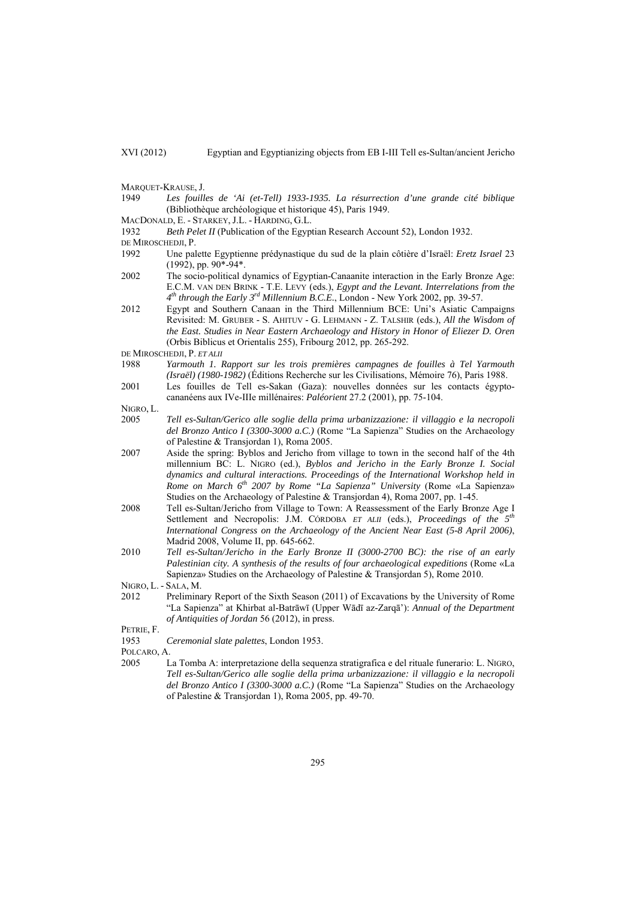- MARQUET-KRAUSE, J.
- 1949 *Les fouilles de 'Ai (et-Tell) 1933-1935. La résurrection d'une grande cité biblique* (Bibliothèque archéologique et historique 45), Paris 1949.
- MACDONALD, E. STARKEY, J.L. HARDING, G.L.
- 1932 *Beth Pelet II* (Publication of the Egyptian Research Account 52), London 1932.
- DE MIROSCHEDII, P.
- 1992 Une palette Egyptienne prédynastique du sud de la plain côtière d'Israël: *Eretz Israel* 23  $(1992)$ , pp.  $90*-94*$ .
- 2002 The socio-political dynamics of Egyptian-Canaanite interaction in the Early Bronze Age: E.C.M. VAN DEN BRINK - T.E. LEVY (eds.), *Egypt and the Levant. Interrelations from the 4th through the Early 3rd Millennium B.C.E.*, London - New York 2002, pp. 39-57.
- 2012 Egypt and Southern Canaan in the Third Millennium BCE: Uni's Asiatic Campaigns Revisited: M. GRUBER - S. AHITUV - G. LEHMANN - Z. TALSHIR (eds.), *All the Wisdom of the East. Studies in Near Eastern Archaeology and History in Honor of Eliezer D. Oren* (Orbis Biblicus et Orientalis 255), Fribourg 2012, pp. 265-292.
- DE MIROSCHEDJI, P. *ET ALII*
- 1988 *Yarmouth 1. Rapport sur les trois premières campagnes de fouilles à Tel Yarmouth (Israël) (1980-1982)* (Éditions Recherche sur les Civilisations, Mémoire 76), Paris 1988.
- 2001 Les fouilles de Tell es-Sakan (Gaza): nouvelles données sur les contacts égyptocananéens aux IVe-IIIe millénaires: *Paléorient* 27.2 (2001), pp. 75-104.

NIGRO<sub>L</sub>

- 2005 *Tell es-Sultan/Gerico alle soglie della prima urbanizzazione: il villaggio e la necropoli del Bronzo Antico I (3300-3000 a.C.)* (Rome "La Sapienza" Studies on the Archaeology of Palestine & Transjordan 1), Roma 2005.
- 2007 Aside the spring: Byblos and Jericho from village to town in the second half of the 4th millennium BC: L. NIGRO (ed.), *Byblos and Jericho in the Early Bronze I. Social dynamics and cultural interactions. Proceedings of the International Workshop held in Rome on March 6th 2007 by Rome "La Sapienza" University* (Rome «La Sapienza» Studies on the Archaeology of Palestine & Transjordan 4), Roma 2007, pp. 1-45.
- 2008 Tell es-Sultan/Jericho from Village to Town: A Reassessment of the Early Bronze Age I Settlement and Necropolis: J.M. CÓRDOBA *ET ALII* (eds.), *Proceedings of the 5th International Congress on the Archaeology of the Ancient Near East (5-8 April 2006)*, Madrid 2008, Volume II, pp. 645-662.
- 2010 *Tell es-Sultan/Jericho in the Early Bronze II (3000-2700 BC): the rise of an early Palestinian city. A synthesis of the results of four archaeological expeditions* (Rome «La Sapienza» Studies on the Archaeology of Palestine & Transjordan 5), Rome 2010.

NIGRO, L. - SALA, M.

2012 Preliminary Report of the Sixth Season (2011) of Excavations by the University of Rome "La Sapienza" at Khirbat al-Batrāwī (Upper Wādī az-Zarqā'): *Annual of the Department of Antiquities of Jordan* 56 (2012), in press.

PETRIE, F.

1953 *Ceremonial slate palettes*, London 1953.

POLCARO, A.

2005 La Tomba A: interpretazione della sequenza stratigrafica e del rituale funerario: L. NIGRO, *Tell es-Sultan/Gerico alle soglie della prima urbanizzazione: il villaggio e la necropoli del Bronzo Antico I (3300-3000 a.C.)* (Rome "La Sapienza" Studies on the Archaeology of Palestine & Transjordan 1), Roma 2005, pp. 49-70.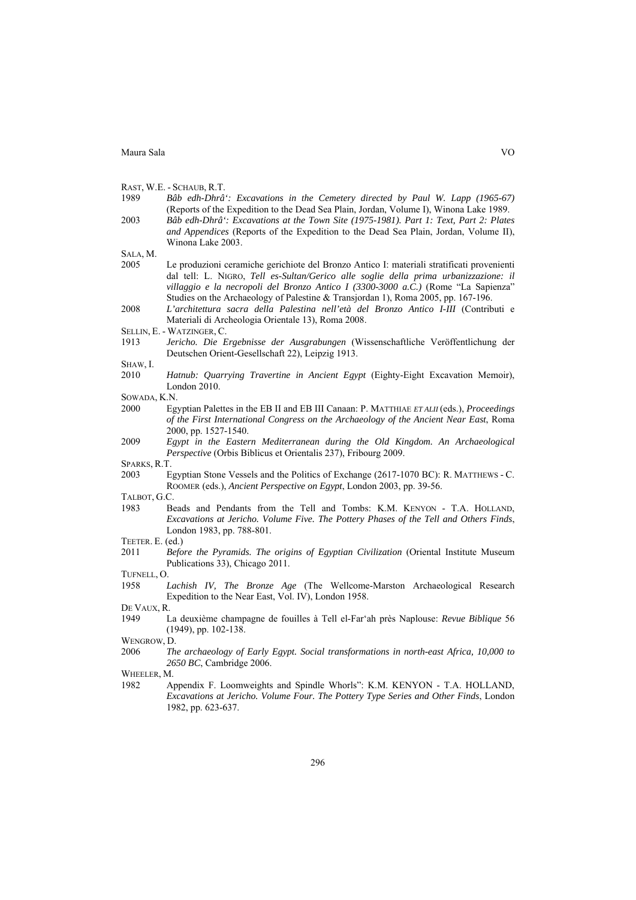|  |  | RAST, W.E. - SCHAUB, R.T. |  |
|--|--|---------------------------|--|
|--|--|---------------------------|--|

1989 *Bâb edh-Dhrâ': Excavations in the Cemetery directed by Paul W. Lapp (1965-67)* (Reports of the Expedition to the Dead Sea Plain, Jordan, Volume I), Winona Lake 1989. 2003 *Bâb edh-Dhrâ': Excavations at the Town Site (1975-1981). Part 1: Text, Part 2: Plates and Appendices* (Reports of the Expedition to the Dead Sea Plain, Jordan, Volume II), Winona Lake 2003.

SALA, M.

- 2005 Le produzioni ceramiche gerichiote del Bronzo Antico I: materiali stratificati provenienti dal tell: L. NIGRO, *Tell es-Sultan/Gerico alle soglie della prima urbanizzazione: il villaggio e la necropoli del Bronzo Antico I (3300-3000 a.C.)* (Rome "La Sapienza" Studies on the Archaeology of Palestine & Transjordan 1), Roma 2005, pp. 167-196.
- 2008 *L'architettura sacra della Palestina nell'età del Bronzo Antico I-III* (Contributi e Materiali di Archeologia Orientale 13), Roma 2008.
- SELLIN, E. WATZINGER, C.
- 1913 *Jericho. Die Ergebnisse der Ausgrabungen* (Wissenschaftliche Veröffentlichung der Deutschen Orient-Gesellschaft 22), Leipzig 1913.

SHAW, I.

- 2010 *Hatnub: Quarrying Travertine in Ancient Egypt* (Eighty-Eight Excavation Memoir), London 2010.
- SOWADA, K.N.
- 2000 Egyptian Palettes in the EB II and EB III Canaan: P. MATTHIAE *ET ALII* (eds.), *Proceedings of the First International Congress on the Archaeology of the Ancient Near East*, Roma 2000, pp. 1527-1540.
- 2009 *Egypt in the Eastern Mediterranean during the Old Kingdom. An Archaeological Perspective* (Orbis Biblicus et Orientalis 237), Fribourg 2009.

SPARKS, R.T.

2003 Egyptian Stone Vessels and the Politics of Exchange (2617-1070 BC): R. MATTHEWS - C. ROOMER (eds.), *Ancient Perspective on Egypt*, London 2003, pp. 39-56.

TALBOT, G.C.

- 1983 Beads and Pendants from the Tell and Tombs: K.M. KENYON T.A. HOLLAND, *Excavations at Jericho. Volume Five. The Pottery Phases of the Tell and Others Finds*, London 1983, pp. 788-801.
- TEETER. E. (ed.)
- 2011 *Before the Pyramids. The origins of Egyptian Civilization* (Oriental Institute Museum Publications 33), Chicago 2011.

TUFNELL, O.

1958 *Lachish IV, The Bronze Age* (The Wellcome-Marston Archaeological Research Expedition to the Near East, Vol. IV), London 1958.

DE VAUX, R.

1949 La deuxième champagne de fouilles à Tell el-Far'ah près Naplouse: *Revue Biblique* 56 (1949), pp. 102-138.

WENGROW, D.<br>2006 Th

2006 *The archaeology of Early Egypt. Social transformations in north-east Africa, 10,000 to 2650 BC*, Cambridge 2006.

WHEELER, M.

1982 Appendix F. Loomweights and Spindle Whorls": K.M. KENYON - T.A. HOLLAND, *Excavations at Jericho. Volume Four. The Pottery Type Series and Other Finds*, London 1982, pp. 623-637.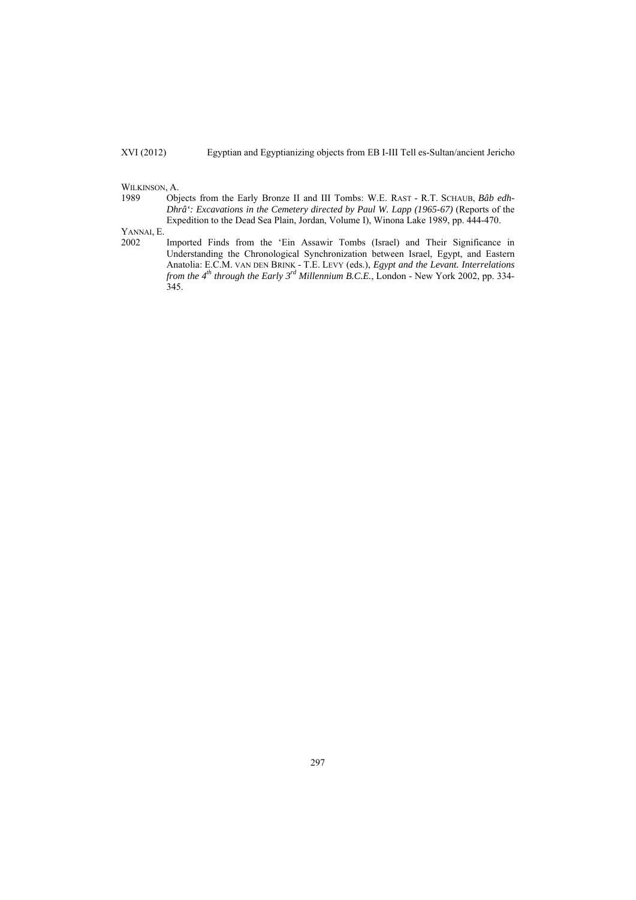# WILKINSON, A.<br>1989 Obj

Objects from the Early Bronze II and III Tombs: W.E. RAST - R.T. SCHAUB, *Bâb edh*-*Dhrâ': Excavations in the Cemetery directed by Paul W. Lapp (1965-67)* (Reports of the Expedition to the Dead Sea Plain, Jordan, Volume I), Winona Lake 1989, pp. 444-470.

YANNAI, E.

2002 Imported Finds from the 'Ein Assawir Tombs (Israel) and Their Significance in Understanding the Chronological Synchronization between Israel, Egypt, and Eastern Anatolia: E.C.M. VAN DEN BRINK - T.E. LEVY (eds.), *Egypt and the Levant. Interrelations from the 4th through the Early 3rd Millennium B.C.E.*, London - New York 2002, pp. 334-  $345.$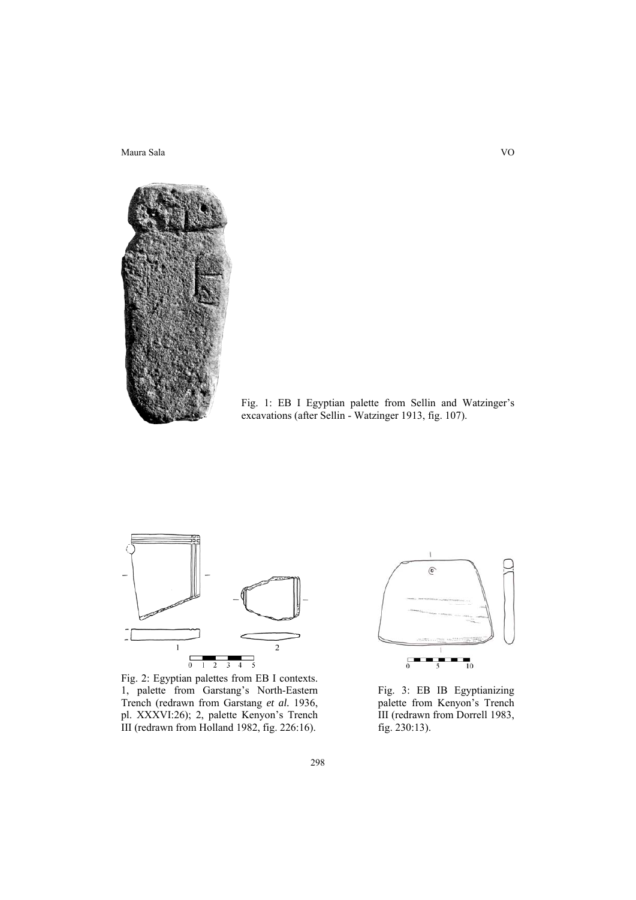

Fig. 1: EB I Egyptian palette from Sellin and Watzinger's excavations (after Sellin - Watzinger 1913, fig. 107).



Fig. 2: Egyptian palettes from EB I contexts. 1, palette from Garstang's North-Eastern Trench (redrawn from Garstang *et al.* 1936, pl. XXXVI:26); 2, palette Kenyon's Trench III (redrawn from Holland 1982, fig. 226:16).



Fig. 3: EB IB Egyptianizing palette from Kenyon's Trench III (redrawn from Dorrell 1983, fig. 230:13).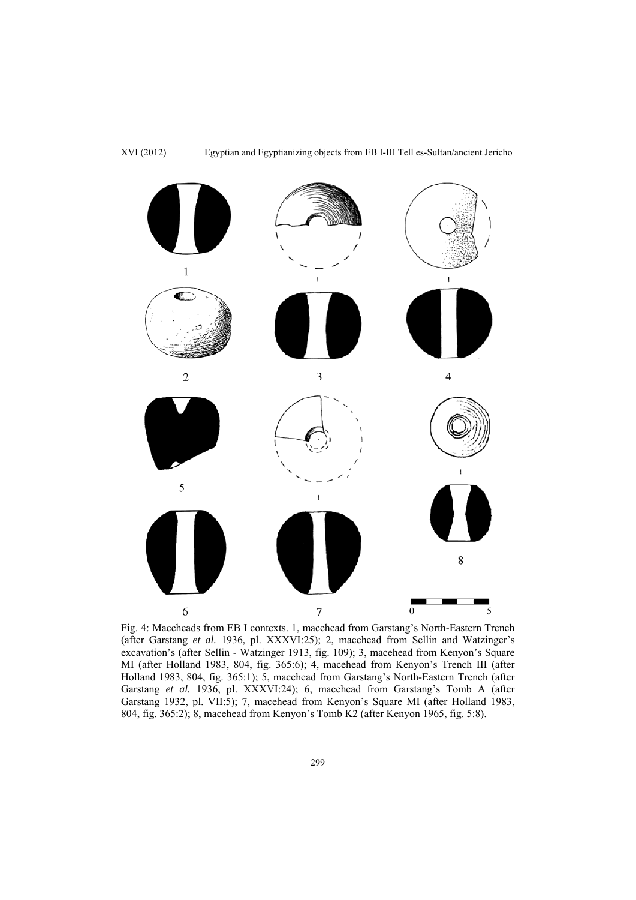

Fig. 4: Maceheads from EB I contexts. 1, macehead from Garstang's North-Eastern Trench (after Garstang *et al.* 1936, pl. XXXVI:25); 2, macehead from Sellin and Watzinger's excavation's (after Sellin - Watzinger 1913, fig. 109); 3, macehead from Kenyon's Square MI (after Holland 1983, 804, fig. 365:6); 4, macehead from Kenyon's Trench III (after Holland 1983, 804, fig. 365:1); 5, macehead from Garstang's North-Eastern Trench (after Garstang *et al.* 1936, pl. XXXVI:24); 6, macehead from Garstang's Tomb A (after Garstang 1932, pl. VII:5); 7, macehead from Kenyon's Square MI (after Holland 1983, 804, fig. 365:2); 8, macehead from Kenyon's Tomb K2 (after Kenyon 1965, fig. 5:8).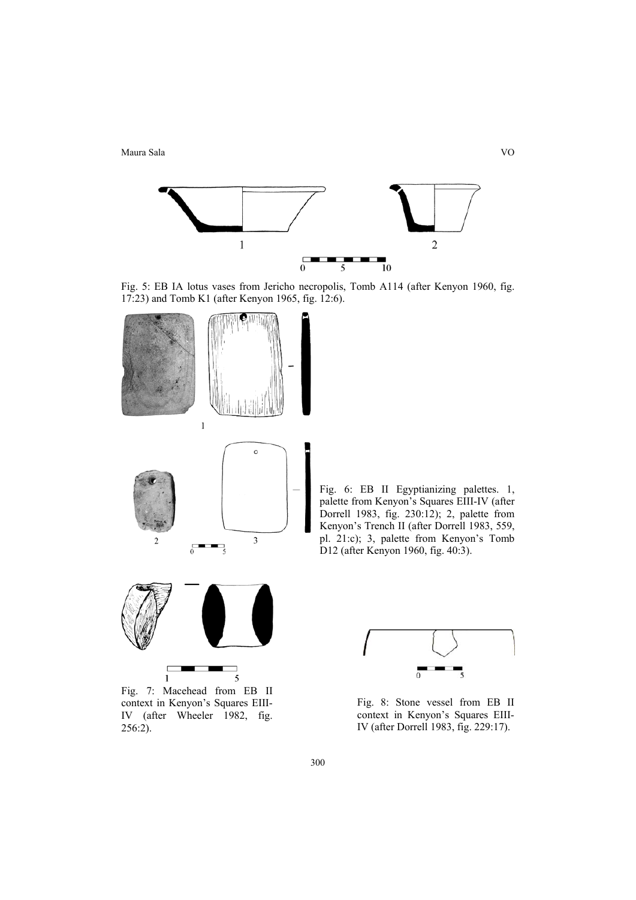

Fig. 5: EB IA lotus vases from Jericho necropolis, Tomb A114 (after Kenyon 1960, fig. 17:23) and Tomb K1 (after Kenyon 1965, fig. 12:6).



Fig. 6: EB II Egyptianizing palettes. 1, palette from Kenyon's Squares EIII-IV (after Dorrell 1983, fig. 230:12); 2, palette from Kenyon's Trench II (after Dorrell 1983, 559, pl. 21:c); 3, palette from Kenyon's Tomb D12 (after Kenyon 1960, fig. 40:3).



Fig. 7: Macehead from EB II context in Kenyon's Squares EIII-IV (after Wheeler 1982, fig. 256:2).



Fig. 8: Stone vessel from EB II context in Kenyon's Squares EIII-IV (after Dorrell 1983, fig. 229:17).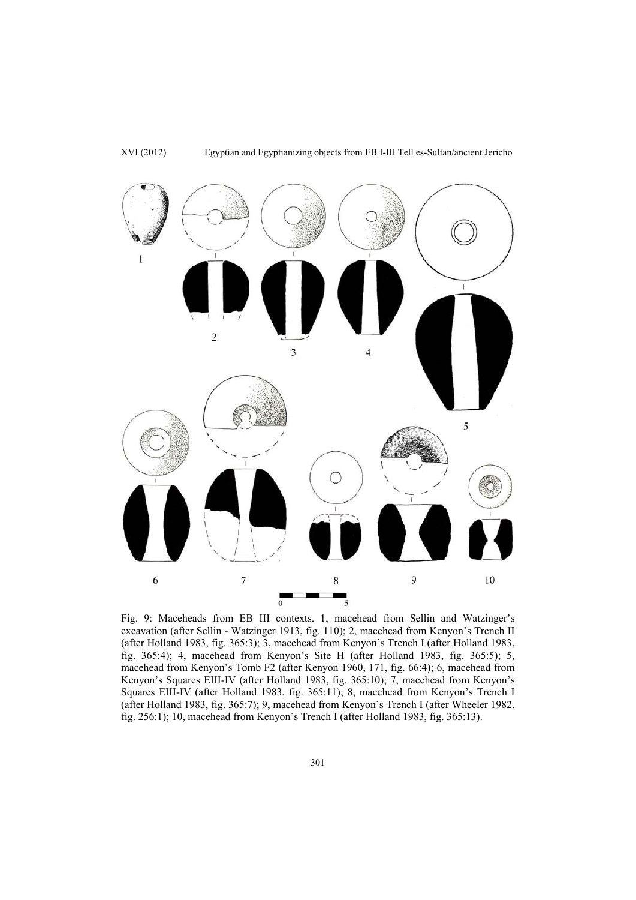

XVI (2012) Egyptian and Egyptianizing objects from EB I-III Tell es-Sultan/ancient Jericho

Fig. 9: Maceheads from EB III contexts. 1, macehead from Sellin and Watzinger's excavation (after Sellin - Watzinger 1913, fig. 110); 2, macehead from Kenyon's Trench II (after Holland 1983, fig. 365:3); 3, macehead from Kenyon's Trench I (after Holland 1983, fig. 365:4); 4, macehead from Kenyon's Site H (after Holland 1983, fig. 365:5); 5, macehead from Kenyon's Tomb F2 (after Kenyon 1960, 171, fig. 66:4); 6, macehead from Kenyon's Squares EIII-IV (after Holland 1983, fig. 365:10); 7, macehead from Kenyon's Squares EIII-IV (after Holland 1983, fig. 365:11); 8, macehead from Kenyon's Trench I (after Holland 1983, fig. 365:7); 9, macehead from Kenyon's Trench I (after Wheeler 1982, fig. 256:1); 10, macehead from Kenyon's Trench I (after Holland 1983, fig. 365:13).